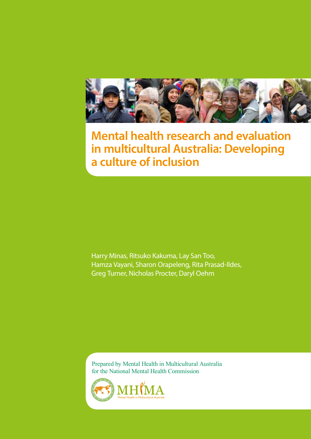

## **Mental health research and evaluation in multicultural Australia: Developing a culture of inclusion**

Harry Minas, Ritsuko Kakuma, Lay San Too, Hamza Vayani, Sharon Orapeleng, Rita Prasad-Ildes, Greg Turner, Nicholas Procter, Daryl Oehm

Prepared by Mental Health in Multicultural Australia for the National Mental Health Commission

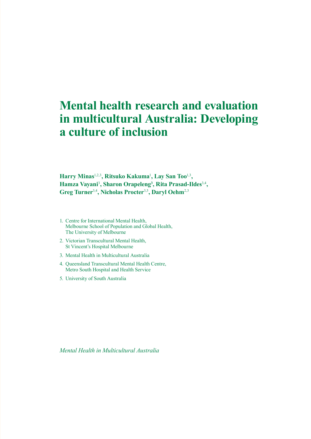## **Mental health research and evaluation in multicultural Australia: Developing a culture of inclusion**

**Harry Minas**1,2,3**, Ritsuko Kakuma**<sup>1</sup> **, Lay San Too**1,3**, Hamza Vayani**<sup>3</sup> **, Sharon Orapeleng3 , Rita Prasad-Ildes**3,4**, Greg Turner**3,4**, Nicholas Procter**3,5**, Daryl Oehm**2,3

- 1. Centre for International Mental Health, Melbourne School of Population and Global Health, The University of Melbourne
- 2. Victorian Transcultural Mental Health, St Vincent's Hospital Melbourne
- 3. Mental Health in Multicultural Australia
- 4. Queensland Transcultural Mental Health Centre, Metro South Hospital and Health Service
- 5. University of South Australia

*Mental Health in Multicultural Australia*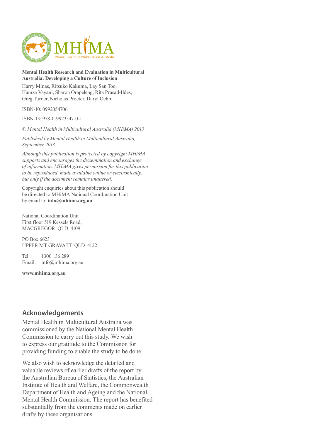

#### **Mental Health Research and Evaluation in Multicultural Australia: Developing a Culture of Inclusion**

Harry Minas, Ritsuko Kakuma, Lay San Too, Hamza Vayani, Sharon Orapeleng, Rita Prasad-Ildes, Greg Turner, Nicholas Procter, Daryl Oehm

ISBN-10: 0992354706

ISBN-13: 978-0-9923547-0-1

*© Mental Health in Multicultural Australia (MHiMA) 2013*

*Published by Mental Health in Multicultural Australia, September 2013.*

*Although this publication is protected by copyright MHiMA supports and encourages the dissemination and exchange of information. MHiMA gives permission for this publication to be reproduced, made available online or electronically, but only if the document remains unaltered.*

Copyright enquiries about this publication should be directed to MHiMA National Coordination Unit by email to: **info@mhima.org.au**

National Coordination Unit First floor 519 Kessels Road, MACGREGOR QLD 4109

PO Box 6623 UPPER MT GRAVATT QLD 4122

Tel: 1300 136 289 Email: info@mhima.org.au

**www.mhima.org.au**

### **Acknowledgements**

Mental Health in Multicultural Australia was commissioned by the National Mental Health Commission to carry out this study. We wish to express our gratitude to the Commission for providing funding to enable the study to be done.

We also wish to acknowledge the detailed and valuable reviews of earlier drafts of the report by the Australian Bureau of Statistics, the Australian Institute of Health and Welfare, the Commonwealth Department of Health and Ageing and the National Mental Health Commission. The report has benefited substantially from the comments made on earlier drafts by these organisations.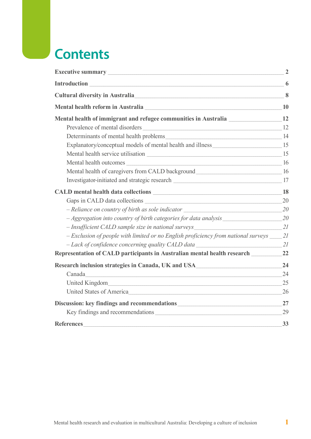## **Contents**

| Executive summary Executive summary                                                                                             | $\overline{2}$          |
|---------------------------------------------------------------------------------------------------------------------------------|-------------------------|
|                                                                                                                                 | 6                       |
| Cultural diversity in Australia                                                                                                 | $\overline{\mathbf{8}}$ |
|                                                                                                                                 |                         |
| Mental health of immigrant and refugee communities in Australia                                                                 | 12                      |
|                                                                                                                                 |                         |
|                                                                                                                                 |                         |
|                                                                                                                                 |                         |
| Mental health service utilisation Learning and the service utilisation                                                          | 15                      |
| Mental health outcomes 16                                                                                                       |                         |
| Mental health of caregivers from CALD background_________________________________                                               | 16                      |
| Investigator-initiated and strategic research 17                                                                                |                         |
|                                                                                                                                 | 18                      |
|                                                                                                                                 | 20                      |
| - Reliance on country of birth as sole indicator                                                                                | 20                      |
| - Aggregation into country of birth categories for data analysis                                                                | 20                      |
| - Insufficient CALD sample size in national surveys                                                                             | 21                      |
| - Exclusion of people with limited or no English proficiency from national surveys _____ 21                                     |                         |
| - Lack of confidence concerning quality CALD data                                                                               | 21                      |
| Representation of CALD participants in Australian mental health research                                                        | 22                      |
| Research inclusion strategies in Canada, UK and USA                                                                             | 24                      |
| Canada<br><u> 1989 - Johann Stein, marwolaeth a brening ar cyfan y gwyr ar y ganraig ar cynnwys ar cynnwys ar cynnwys ar cy</u> | 24                      |
|                                                                                                                                 | 25                      |
| United States of America                                                                                                        | 26                      |
|                                                                                                                                 | 27                      |
| Key findings and recommendations                                                                                                | 29                      |
| <b>References</b>                                                                                                               | 33                      |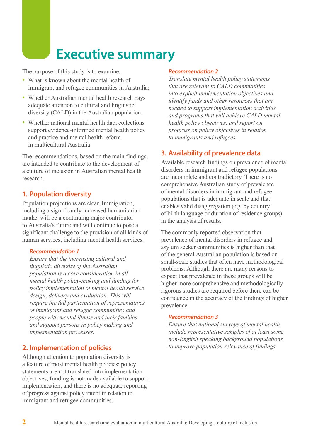## **Executive summary**

The purpose of this study is to examine:

- What is known about the mental health of immigrant and refugee communities in Australia;
- Whether Australian mental health research pays adequate attention to cultural and linguistic diversity (CALD) in the Australian population.
- Whether national mental health data collections support evidence-informed mental health policy and practice and mental health reform in multicultural Australia.

The recommendations, based on the main findings, are intended to contribute to the development of a culture of inclusion in Australian mental health research.

## **1. Population diversity**

Population projections are clear. Immigration, including a significantly increased humanitarian intake, will be a continuing major contributor to Australia's future and will continue to pose a significant challenge to the provision of all kinds of human services, including mental health services.

#### *Recommendation 1*

*Ensure that the increasing cultural and linguistic diversity of the Australian population is a core consideration in all mental health policy-making and funding for policy implementation of mental health service design, delivery and evaluation. This will require the full participation of representatives of immigrant and refugee communities and people with mental illness and their families and support persons in policy making and implementation processes.*

## **2. Implementation of policies**

Although attention to population diversity is a feature of most mental health policies; policy statements are not translated into implementation objectives, funding is not made available to support implementation, and there is no adequate reporting of progress against policy intent in relation to immigrant and refugee communities.

#### *Recommendation 2*

*Translate mental health policy statements that are relevant to CALD communities into explicit implementation objectives and identify funds and other resources that are needed to support implementation activities and programs that will achieve CALD mental health policy objectives, and report on progress on policy objectives in relation to immigrants and refugees.*

## **3. Availability of prevalence data**

Available research findings on prevalence of mental disorders in immigrant and refugee populations are incomplete and contradictory. There is no comprehensive Australian study of prevalence of mental disorders in immigrant and refugee populations that is adequate in scale and that enables valid disaggregation (e.g. by country of birth language or duration of residence groups) in the analysis of results.

The commonly reported observation that prevalence of mental disorders in refugee and asylum seeker communities is higher than that of the general Australian population is based on small-scale studies that often have methodological problems. Although there are many reasons to expect that prevalence in these groups will be higher more comprehensive and methodologically rigorous studies are required before there can be confidence in the accuracy of the findings of higher prevalence.

#### *Recommendation 3*

*Ensure that national surveys of mental health include representative samples of at least some non-English speaking background populations to improve population relevance of findings.*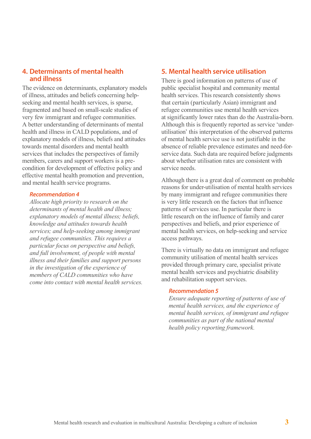#### **4. Determinants of mental health and illness**

The evidence on determinants, explanatory models of illness, attitudes and beliefs concerning helpseeking and mental health services, is sparse, fragmented and based on small-scale studies of very few immigrant and refugee communities. A better understanding of determinants of mental health and illness in CALD populations, and of explanatory models of illness, beliefs and attitudes towards mental disorders and mental health services that includes the perspectives of family members, carers and support workers is a precondition for development of effective policy and effective mental health promotion and prevention, and mental health service programs.

#### *Recommendation 4*

*Allocate high priority to research on the determinants of mental health and illness; explanatory models of mental illness; beliefs, knowledge and attitudes towards health services; and help-seeking among immigrant and refugee communities. This requires a particular focus on perspective and beliefs, and full involvement, of people with mental illness and their families and support persons in the investigation of the experience of members of CALD communities who have come into contact with mental health services.*

## **5. Mental health service utilisation**

There is good information on patterns of use of public specialist hospital and community mental health services. This research consistently shows that certain (particularly Asian) immigrant and refugee communities use mental health services at significantly lower rates than do the Australia-born. Although this is frequently reported as service 'underutilisation' this interpretation of the observed patterns of mental health service use is not justifiable in the absence of reliable prevalence estimates and need-forservice data. Such data are required before judgments about whether utilisation rates are consistent with service needs.

Although there is a great deal of comment on probable reasons for under-utilisation of mental health services by many immigrant and refugee communities there is very little research on the factors that influence patterns of services use. In particular there is little research on the influence of family and carer perspectives and beliefs, and prior experience of mental health services, on help-seeking and service access pathways.

There is virtually no data on immigrant and refugee community utilisation of mental health services provided through primary care, specialist private mental health services and psychiatric disability and rehabilitation support services.

#### *Recommendation 5*

*Ensure adequate reporting of patterns of use of mental health services, and the experience of mental health services, of immigrant and refugee communities as part of the national mental health policy reporting framework.*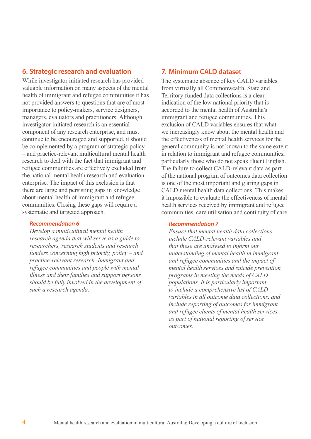### **6. Strategic research and evaluation**

While investigator-initiated research has provided valuable information on many aspects of the mental health of immigrant and refugee communities it has not provided answers to questions that are of most importance to policy-makers, service designers, managers, evaluators and practitioners. Although investigator-initiated research is an essential component of any research enterprise, and must continue to be encouraged and supported, it should be complemented by a program of strategic policy – and practice-relevant multicultural mental health research to deal with the fact that immigrant and refugee communities are effectively excluded from the national mental health research and evaluation enterprise. The impact of this exclusion is that there are large and persisting gaps in knowledge about mental health of immigrant and refugee communities. Closing these gaps will require a systematic and targeted approach.

#### *Recommendation 6*

*Develop a multicultural mental health research agenda that will serve as a guide to researchers, research students and research funders concerning high priority, policy – and practice-relevant research. Immigrant and refugee communities and people with mental illness and their families and support persons should be fully involved in the development of such a research agenda.*

## **7. Minimum CALD dataset**

The systematic absence of key CALD variables from virtually all Commonwealth, State and Territory funded data collections is a clear indication of the low national priority that is accorded to the mental health of Australia's immigrant and refugee communities. This exclusion of CALD variables ensures that what we increasingly know about the mental health and the effectiveness of mental health services for the general community is not known to the same extent in relation to immigrant and refugee communities, particularly those who do not speak fluent English. The failure to collect CALD-relevant data as part of the national program of outcomes data collection is one of the most important and glaring gaps in CALD mental health data collections. This makes it impossible to evaluate the effectiveness of mental health services received by immigrant and refugee communities, care utilisation and continuity of care.

#### *Recommendation 7*

*Ensure that mental health data collections include CALD-relevant variables and that these are analysed to inform our understanding of mental health in immigrant and refugee communities and the impact of mental health services and suicide prevention programs in meeting the needs of CALD populations. It is particularly important to include a comprehensive list of CALD variables in all outcome data collections, and include reporting of outcomes for immigrant and refugee clients of mental health services as part of national reporting of service outcomes.*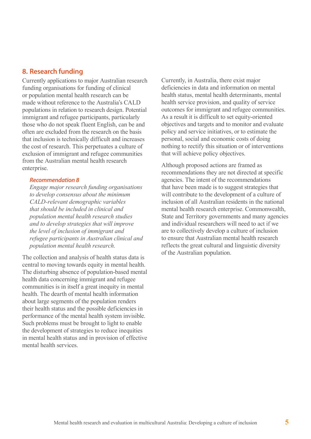### **8. Research funding**

Currently applications to major Australian research funding organisations for funding of clinical or population mental health research can be made without reference to the Australia's CALD populations in relation to research design. Potential immigrant and refugee participants, particularly those who do not speak fluent English, can be and often are excluded from the research on the basis that inclusion is technically difficult and increases the cost of research. This perpetuates a culture of exclusion of immigrant and refugee communities from the Australian mental health research enterprise.

#### *Recommendation 8*

*Engage major research funding organisations to develop consensus about the minimum CALD-relevant demographic variables that should be included in clinical and population mental health research studies and to develop strategies that will improve the level of inclusion of immigrant and refugee participants in Australian clinical and population mental health research.*

The collection and analysis of health status data is central to moving towards equity in mental health. The disturbing absence of population-based mental health data concerning immigrant and refugee communities is in itself a great inequity in mental health. The dearth of mental health information about large segments of the population renders their health status and the possible deficiencies in performance of the mental health system invisible. Such problems must be brought to light to enable the development of strategies to reduce inequities in mental health status and in provision of effective mental health services.

Currently, in Australia, there exist major deficiencies in data and information on mental health status, mental health determinants, mental health service provision, and quality of service outcomes for immigrant and refugee communities. As a result it is difficult to set equity-oriented objectives and targets and to monitor and evaluate policy and service initiatives, or to estimate the personal, social and economic costs of doing nothing to rectify this situation or of interventions that will achieve policy objectives.

Although proposed actions are framed as recommendations they are not directed at specific agencies. The intent of the recommendations that have been made is to suggest strategies that will contribute to the development of a culture of inclusion of all Australian residents in the national mental health research enterprise. Commonwealth, State and Territory governments and many agencies and individual researchers will need to act if we are to collectively develop a culture of inclusion to ensure that Australian mental health research reflects the great cultural and linguistic diversity of the Australian population.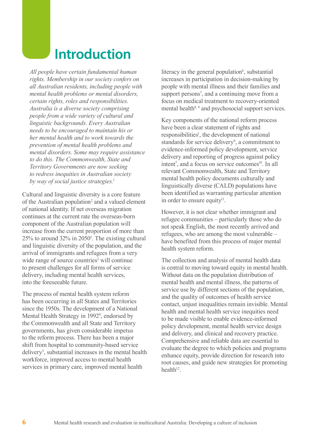## **Introduction**

*All people have certain fundamental human rights. Membership in our society confers on all Australian residents, including people with mental health problems or mental disorders, certain rights, roles and responsibilities. Australia is a diverse society comprising people from a wide variety of cultural and linguistic backgrounds. Every Australian needs to be encouraged to maintain his or her mental health and to work towards the prevention of mental health problems and mental disorders. Some may require assistance to do this. The Commonwealth, State and Territory Governments are now seeking to redress inequities in Australian society by way of social justice strategies.*<sup>1</sup>

Cultural and linguistic diversity is a core feature of the Australian population<sup>2</sup> and a valued element of national identity. If net overseas migration continues at the current rate the overseas-born component of the Australian population will increase from the current proportion of more than 25% to around 32% in 20503 . The existing cultural and linguistic diversity of the population, and the arrival of immigrants and refugees from a very wide range of source countries<sup>2</sup> will continue to present challenges for all forms of service delivery, including mental health services, into the foreseeable future.

The process of mental health system reform has been occurring in all States and Territories since the 1950s. The development of a National Mental Health Strategy in 1992<sup>4</sup>, endorsed by the Commonwealth and all State and Territory governments, has given considerable impetus to the reform process. There has been a major shift from hospital to community-based service delivery<sup>5</sup>, substantial increases in the mental health workforce, improved access to mental health services in primary care, improved mental health

literacy in the general population<sup>6</sup>, substantial increases in participation in decision-making by people with mental illness and their families and support persons<sup>7</sup>, and a continuing move from a focus on medical treatment to recovery-oriented mental health<sup>8, 9</sup> and psychosocial support services.

Key components of the national reform process have been a clear statement of rights and responsibilities<sup>1</sup>, the development of national standards for service delivery<sup>9</sup>, a commitment to evidence-informed policy development, service delivery and reporting of progress against policy intent<sup>7</sup>, and a focus on service outcomes<sup>10</sup>. In all relevant Commonwealth, State and Territory mental health policy documents culturally and linguistically diverse (CALD) populations have been identified as warranting particular attention in order to ensure equity $11$ .

However, it is not clear whether immigrant and refugee communities – particularly those who do not speak English, the most recently arrived and refugees, who are among the most vulnerable – have benefited from this process of major mental health system reform.

The collection and analysis of mental health data is central to moving toward equity in mental health. Without data on the population distribution of mental health and mental illness, the patterns of service use by different sections of the population, and the quality of outcomes of health service contact, unjust inequalities remain invisible. Mental health and mental health service inequities need to be made visible to enable evidence-informed policy development, mental health service design and delivery, and clinical and recovery practice. Comprehensive and reliable data are essential to evaluate the degree to which policies and programs enhance equity, provide direction for research into root causes, and guide new strategies for promoting  $health<sup>12</sup>$ .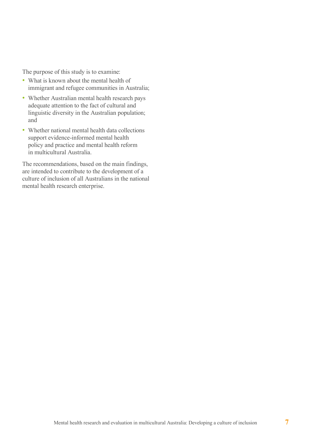The purpose of this study is to examine:

- What is known about the mental health of immigrant and refugee communities in Australia;
- Whether Australian mental health research pays adequate attention to the fact of cultural and linguistic diversity in the Australian population; and
- Whether national mental health data collections support evidence-informed mental health policy and practice and mental health reform in multicultural Australia.

The recommendations, based on the main findings, are intended to contribute to the development of a culture of inclusion of all Australians in the national mental health research enterprise.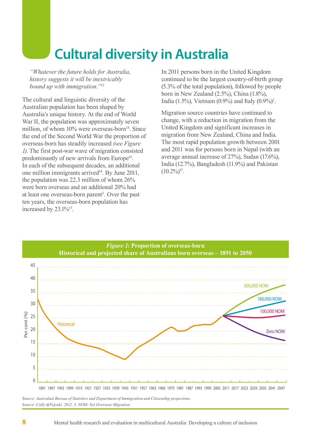# **Cultural diversity in Australia**

*"Whatever the future holds for Australia, history suggests it will be inextricably bound up with immigration."*<sup>13</sup>

The cultural and linguistic diversity of the Australian population has been shaped by Australia's unique history. At the end of World War II, the population was approximately seven million, of whom  $10\%$  were overseas-born $^{14}$ . Since the end of the Second World War the proportion of overseas-born has steadily increased *(see Figure 1)*. The first post-war wave of migration consisted predominantly of new arrivals from Europe<sup>14</sup>. In each of the subsequent decades, an additional one million immigrants arrived $14$ . By June 2011, the population was 22.3 million of whom 26% were born overseas and an additional 20% had at least one overseas-born parent<sup>2</sup>. Over the past ten years, the overseas-born population has increased by  $23.1\%^{15}$ .

In 2011 persons born in the United Kingdom continued to be the largest country-of-birth group (5.3% of the total population), followed by people born in New Zealand (2.5%), China (1.8%), India (1.5%), Vietnam (0.9%) and Italy (0.9%)<sup>2</sup>.

Migration source countries have continued to change, with a reduction in migration from the United Kingdom and significant increases in migration from New Zealand, China and India. The most rapid population growth between 2001 and 2011 was for persons born in Nepal (with an average annual increase of 27%), Sudan (17.6%), India (12.7%), Bangladesh (11.9%) and Pakistan  $(10.2\%)^{15}$ .



*Source: Cully &Pejoski, 2012. 3. NOM: Net Overseas Migration*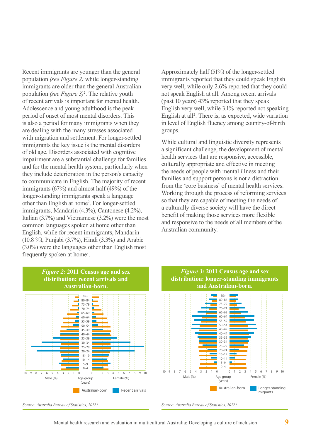Recent immigrants are younger than the general population *(see Figure 2)* while longer-standing immigrants are older than the general Australian population *(see Figure 3)*<sup>2</sup> . The relative youth of recent arrivals is important for mental health. Adolescence and young adulthood is the peak period of onset of most mental disorders. This is also a period for many immigrants when they are dealing with the many stresses associated with migration and settlement. For longer-settled immigrants the key issue is the mental disorders of old age. Disorders associated with cognitive impairment are a substantial challenge for families and for the mental health system, particularly when they include deterioration in the person's capacity to communicate in English. The majority of recent immigrants (67%) and almost half (49%) of the longer-standing immigrants speak a language other than English at home2 . For longer-settled immigrants, Mandarin (4.3%), Cantonese (4.2%), Italian (3.7%) and Vietnamese (3.2%) were the most common languages spoken at home other than English, while for recent immigrants, Mandarin (10.8 %), Punjabi (3.7%), Hindi (3.3%) and Arabic (3.0%) were the languages other than English most frequently spoken at home<sup>2</sup>.

Approximately half (51%) of the longer-settled immigrants reported that they could speak English very well, while only 2.6% reported that they could not speak English at all. Among recent arrivals (past 10 years) 43% reported that they speak English very well, while 3.1% reported not speaking English at all<sup>2</sup>. There is, as expected, wide variation in level of English fluency among country-of-birth groups.

While cultural and linguistic diversity represents a significant challenge, the development of mental health services that are responsive, accessible, culturally appropriate and effective in meeting the needs of people with mental illness and their families and support persons is not a distraction from the 'core business' of mental health services. Working through the process of reforming services so that they are capable of meeting the needs of a culturally diverse society will have the direct benefit of making those services more flexible and responsive to the needs of all members of the Australian community.



#### *Figure 3:* **2011 Census age and sex distribution: longer-standing immigrants and Australian-born.**



*Source: Australia Bureau of Statistics, 2012.2*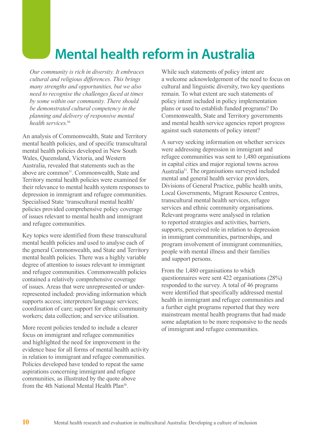# **Mental health reform in Australia**

*Our community is rich in diversity. It embraces cultural and religious differences. This brings many strengths and opportunities, but we also need to recognise the challenges faced at times by some within our community. There should be demonstrated cultural competency in the planning and delivery of responsive mental health services.*<sup>16</sup>

An analysis of Commonwealth, State and Territory mental health policies, and of specific transcultural mental health policies developed in New South Wales, Queensland, Victoria, and Western Australia, revealed that statements such as the above are common<sup>11</sup>. Commonwealth, State and Territory mental health policies were examined for their relevance to mental health system responses to depression in immigrant and refugee communities. Specialised State 'transcultural mental health' policies provided comprehensive policy coverage of issues relevant to mental health and immigrant and refugee communities.

Key topics were identified from these transcultural mental health policies and used to analyse each of the general Commonwealth, and State and Territory mental health policies. There was a highly variable degree of attention to issues relevant to immigrant and refugee communities. Commonwealth policies contained a relatively comprehensive coverage of issues. Areas that were unrepresented or underrepresented included: providing information which supports access; interpreters/language services; coordination of care; support for ethnic community workers; data collection; and service utilisation.

More recent policies tended to include a clearer focus on immigrant and refugee communities and highlighted the need for improvement in the evidence base for all forms of mental health activity in relation to immigrant and refugee communities. Policies developed have tended to repeat the same aspirations concerning immigrant and refugee communities, as illustrated by the quote above from the 4th National Mental Health Plan<sup>16</sup>.

While such statements of policy intent are a welcome acknowledgement of the need to focus on cultural and linguistic diversity, two key questions remain. To what extent are such statements of policy intent included in policy implementation plans or used to establish funded programs? Do Commonwealth, State and Territory governments and mental health service agencies report progress against such statements of policy intent?

A survey seeking information on whether services were addressing depression in immigrant and refugee communities was sent to 1,480 organisations in capital cities and major regional towns across Australia11. The organisations surveyed included mental and general health service providers, Divisions of General Practice, public health units, Local Governments, Migrant Resource Centres, transcultural mental health services, refugee services and ethnic community organisations. Relevant programs were analysed in relation to reported strategies and activities, barriers, supports, perceived role in relation to depression in immigrant communities, partnerships, and program involvement of immigrant communities, people with mental illness and their families and support persons.

From the 1,480 organisations to which questionnaires were sent 422 organisations (28%) responded to the survey. A total of 46 programs were identified that specifically addressed mental health in immigrant and refugee communities and a further eight programs reported that they were mainstream mental health programs that had made some adaptation to be more responsive to the needs of immigrant and refugee communities.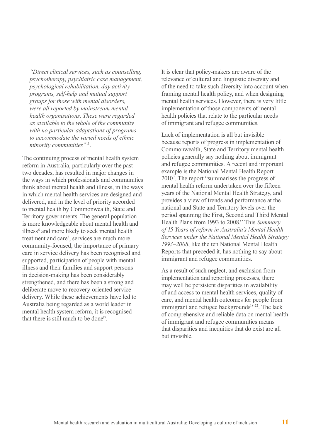*"Direct clinical services, such as counselling, psychotherapy, psychiatric case management, psychological rehabilitation, day activity programs, self-help and mutual support groups for those with mental disorders, were all reported by mainstream mental health organisations. These were regarded as available to the whole of the community with no particular adaptations of programs to accommodate the varied needs of ethnic minority communities"*<sup>11</sup>*.*

The continuing process of mental health system reform in Australia, particularly over the past two decades, has resulted in major changes in the ways in which professionals and communities think about mental health and illness, in the ways in which mental health services are designed and delivered, and in the level of priority accorded to mental health by Commonwealth, State and Territory governments. The general population is more knowledgeable about mental health and illness<sup>6</sup> and more likely to seek mental health treatment and care<sup>5</sup>, services are much more community-focused, the importance of primary care in service delivery has been recognised and supported, participation of people with mental illness and their families and support persons in decision-making has been considerably strengthened, and there has been a strong and deliberate move to recovery-oriented service delivery. While these achievements have led to Australia being regarded as a world leader in mental health system reform, it is recognised that there is still much to be done<sup>17</sup>

It is clear that policy-makers are aware of the relevance of cultural and linguistic diversity and of the need to take such diversity into account when framing mental health policy, and when designing mental health services. However, there is very little implementation of those components of mental health policies that relate to the particular needs of immigrant and refugee communities.

Lack of implementation is all but invisible because reports of progress in implementation of Commonwealth, State and Territory mental health policies generally say nothing about immigrant and refugee communities. A recent and important example is the National Mental Health Report 20107 . The report "summarises the progress of mental health reform undertaken over the fifteen years of the National Mental Health Strategy, and provides a view of trends and performance at the national and State and Territory levels over the period spanning the First, Second and Third Mental Health Plans from 1993 to 2008." This *Summary of 15 Years of reform in Australia's Mental Health Services under the National Mental Health Strategy 1993–2008*, like the ten National Mental Health Reports that preceded it, has nothing to say about immigrant and refugee communities.

As a result of such neglect, and exclusion from implementation and reporting processes, there may well be persistent disparities in availability of and access to mental health services, quality of care, and mental health outcomes for people from immigrant and refugee backgrounds $18-22$ . The lack of comprehensive and reliable data on mental health of immigrant and refugee communities means that disparities and inequities that do exist are all but invisible.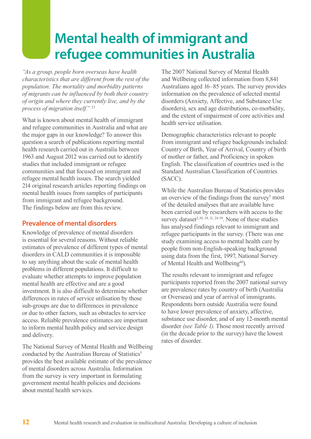## **Mental health of immigrant and refugee communities in Australia**

*"As a group, people born overseas have health characteristics that are different from the rest of the population. The mortality and morbidity patterns of migrants can be influenced by both their country of origin and where they currently live, and by the process of migration itself."* <sup>23</sup>

What is known about mental health of immigrant and refugee communities in Australia and what are the major gaps in our knowledge? To answer this question a search of publications reporting mental health research carried out in Australia between 1963 and August 2012 was carried out to identify studies that included immigrant or refugee communities and that focused on immigrant and refugee mental health issues. The search yielded 214 original research articles reporting findings on mental health issues from samples of participants from immigrant and refugee background. The findings below are from this review.

## **Prevalence of mental disorders**

Knowledge of prevalence of mental disorders is essential for several reasons. Without reliable estimates of prevalence of different types of mental disorders in CALD communities it is impossible to say anything about the scale of mental health problems in different populations. It difficult to evaluate whether attempts to improve population mental health are effective and are a good investment. It is also difficult to determine whether differences in rates of service utilisation by those sub-groups are due to differences in prevalence or due to other factors, such as obstacles to service access. Reliable prevalence estimates are important to inform mental health policy and service design and delivery.

The National Survey of Mental Health and Wellbeing conducted by the Australian Bureau of Statistics<sup>5</sup> provides the best available estimate of the prevalence of mental disorders across Australia. Information from the survey is very important in formulating government mental health policies and decisions about mental health services.

The 2007 National Survey of Mental Health and Wellbeing collected information from 8,841 Australians aged 16–85 years. The survey provides information on the prevalence of selected mental disorders (Anxiety, Affective, and Substance Use disorders), sex and age distributions, co-morbidity, and the extent of impairment of core activities and health service utilisation.

Demographic characteristics relevant to people from immigrant and refugee backgrounds included: Country of Birth, Year of Arrival, Country of birth of mother or father, and Proficiency in spoken English. The classification of countries used is the Standard Australian Classification of Countries (SACC).

While the Australian Bureau of Statistics provides an overview of the findings from the survey<sup>5</sup> most of the detailed analyses that are available have been carried out by researchers with access to the survey dataset<sup>2, 10, 19, 21, 24-39</sup>. None of these studies has analysed findings relevant to immigrant and refugee participants in the survey. (There was one study examining access to mental health care by people from non-English-speaking background using data from the first, 1997, National Survey of Mental Health and Wellbeing<sup>40</sup>).

The results relevant to immigrant and refugee participants reported from the 2007 national survey are prevalence rates by country of birth (Australia or Overseas) and year of arrival of immigrants. Respondents born outside Australia were found to have lower prevalence of anxiety, affective, substance use disorder, and of any 12-month mental disorder *(see Table 1)*. Those most recently arrived (in the decade prior to the survey) have the lowest rates of disorder.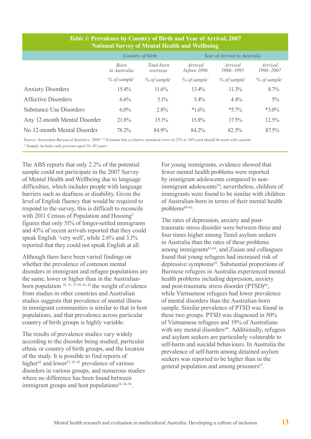| <b>National Survey of Mental Health and Wellbeing</b> |                         |                         |                               |                         |                         |  |
|-------------------------------------------------------|-------------------------|-------------------------|-------------------------------|-------------------------|-------------------------|--|
|                                                       | Country of birth        |                         | Year of Arrival to Australia  |                         |                         |  |
|                                                       | Born<br>in Australia    | Total born<br>overseas  | <i>Arrived</i><br>before 1986 | Arrived<br>1986-1995    | Arrived<br>1996-2007    |  |
|                                                       | $%$ of sample $\degree$ | $%$ of sample $\degree$ | $%$ of sample $\hat{ }$       | $%$ of sample $\degree$ | $%$ of sample $\degree$ |  |
| <b>Anxiety Disorders</b>                              | $15.4\%$                | $11.6\%$                | $13.4\%$                      | $11.3\%$                | $8.7\%$                 |  |
| Affective Disorders                                   | 6.6%                    | $5.1\%$                 | 5.4%                          | $4.4\%$                 | $5\%$                   |  |
| <b>Substance Use Disorders</b>                        | $6.0\%$                 | $2.8\%$                 | $*1.6\%$                      | $*5.7\%$                | $*3.0\%$                |  |
| Any 12-month Mental Disorder                          | 21.8%                   | $15.1\%$                | 15.8%                         | $17.5\%$                | 12.5%                   |  |
| No 12-month Mental Disorder                           | 78.2%                   | 84.9%                   | 84.2%                         | 82.5%                   | $87.5\%$                |  |

### *Table 1:* **Prevalence by Country of Birth and Year of Arrival, 2007 National Survey of Mental Health and Wellbeing**

*Source: Australian Bureau of Statistics, 2008.5 \* Estimate has a relative standard error of 25% to 50% and should be used with caution. ^ Sample includes only persons aged 16–85 years.*

The ABS reports that only 2.2% of the potential sample could not participate in the 2007 Survey of Mental Health and Wellbeing due to language difficulties, which includes people with language barriers such as deafness or disability. Given the level of English fluency that would be required to respond to the survey, this is difficult to reconcile with 2011 Census of Population and Housing<sup>2</sup> figures that only 51% of longer-settled immigrants and 43% of recent arrivals reported that they could speak English 'very well', while 2.6% and 3.1% reported that they could not speak English at all.

Although there have been varied findings on whether the prevalence of common mental disorders in immigrant and refugee populations are the same, lower or higher than in the Australianborn population  $18, 31, 37-39, 41, 42$  the weight of evidence from studies in other countries and Australian studies suggests that prevalence of mental illness in immigrant communities is similar to that in host populations, and that prevalence across particular country of birth groups is highly variable.

The results of prevalence studies vary widely according to the disorder being studied, particular ethnic or country of birth groups, and the location of the study. It is possible to find reports of higher<sup>42</sup> and lower<sup>37, 43-45</sup> prevalence of various disorders in various groups, and numerous studies where no difference has been found between immigrant groups and host populations<sup>18, 46-58</sup>.

For young immigrants, evidence showed that fewer mental health problems were reported by immigrant adolescents compared to nonimmigrant adolescents<sup>59</sup>; nevertheless, children of immigrants were found to be similar with children of Australian-born in terms of their mental health problems<sup>60-62</sup>.

The rates of depression, anxiety and posttraumatic stress disorder were between three and four times higher among Tamil asylum seekers in Australia than the rates of these problems among immigrants $63,64$ , and Ziaian and colleagues found that young refugees had increased risk of depressive symptoms<sup>65</sup>. Substantial proportions of Burmese refugees in Australia experienced mental health problems including depression, anxiety and post-traumatic stress disorder (PTSD)<sup>66</sup>, while Vietnamese refugees had lower prevalence of mental disorders than the Australian-born sample. Similar prevalence of PTSD was found in these two groups. PTSD was diagnosed in 50% of Vietnamese refugees and 19% of Australians with any mental disorders<sup>44</sup>. Additionally, refugees and asylum seekers are particularly vulnerable to self-harm and suicidal behaviours. In Australia the prevalence of self-harm among detained asylum seekers was reported to be higher than in the general population and among prisoners<sup>67</sup>.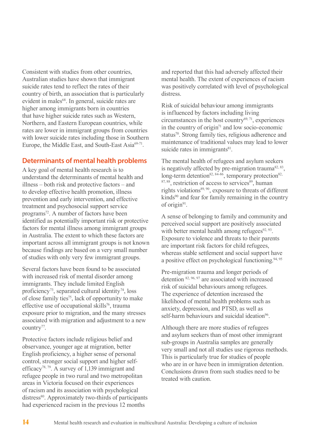Consistent with studies from other countries, Australian studies have shown that immigrant suicide rates tend to reflect the rates of their country of birth, an association that is particularly evident in males<sup>68</sup>. In general, suicide rates are higher among immigrants born in countries that have higher suicide rates such as Western, Northern, and Eastern European countries, while rates are lower in immigrant groups from countries with lower suicide rates including those in Southern Europe, the Middle East, and South-East Asia<sup>69-71</sup>.

## **Determinants of mental health problems**

A key goal of mental health research is to understand the determinants of mental health and illness – both risk and protective factors – and to develop effective health promotion, illness prevention and early intervention, and effective treatment and psychosocial support service programs<sup>72</sup>. A number of factors have been identified as potentially important risk or protective factors for mental illness among immigrant groups in Australia. The extent to which these factors are important across all immigrant groups is not known because findings are based on a very small number of studies with only very few immigrant groups.

Several factors have been found to be associated with increased risk of mental disorder among immigrants. They include limited English proficiency<sup>73</sup>, separated cultural identity<sup>74</sup>, loss of close family ties75, lack of opportunity to make effective use of occupational skills<sup>76</sup>, trauma exposure prior to migration, and the many stresses associated with migration and adjustment to a new country<sup>77</sup>.

Protective factors include religious belief and observance, younger age at migration, better English proficiency, a higher sense of personal control, stronger social support and higher selfefficacy78, 79. A survey of 1,139 immigrant and refugee people in two rural and two metropolitan areas in Victoria focused on their experiences of racism and its association with psychological distress<sup>80</sup>. Approximately two-thirds of participants had experienced racism in the previous 12 months

and reported that this had adversely affected their mental health. The extent of experiences of racism was positively correlated with level of psychological distress.

Risk of suicidal behaviour among immigrants is influenced by factors including living circumstances in the host country $69, 71$ , experiences in the country of origin<sup> $71$ </sup> and low socio-economic status<sup>70</sup>. Strong family ties, religious adherence and maintenance of traditional values may lead to lower suicide rates in immigrants $81$ .

The mental health of refugees and asylum seekers is negatively affected by pre-migration trauma<sup>82, 83</sup>, long-term detention<sup>82, 84-86</sup>, temporary protection<sup>82, 94</sup>  $87, 88$ , restriction of access to services $89$ , human rights violations<sup>89, 90</sup>, exposure to threats of different  $kinds<sup>90</sup>$  and fear for family remaining in the country of origin<sup>91</sup>.

A sense of belonging to family and community and perceived social support are positively associated with better mental health among refugees $92, 93$ . Exposure to violence and threats to their parents are important risk factors for child refugees, whereas stable settlement and social support have a positive effect on psychological functioning.  $94, 95$ 

Pre-migration trauma and longer periods of detention 82, 96, 97 are associated with increased risk of suicidal behaviours among refugees. The experience of detention increased the likelihood of mental health problems such as anxiety, depression, and PTSD, as well as self-harm behaviours and suicidal ideation<sup>96</sup>.

Although there are more studies of refugees and asylum seekers than of most other immigrant sub-groups in Australia samples are generally very small and not all studies use rigorous methods. This is particularly true for studies of people who are in or have been in immigration detention. Conclusions drawn from such studies need to be treated with caution.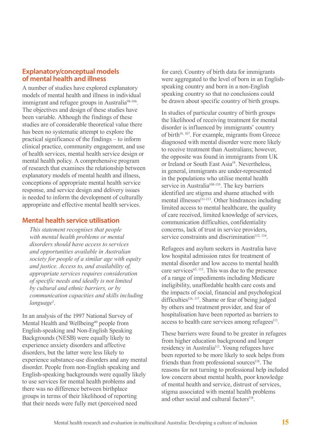### **Explanatory/conceptual models of mental health and illness**

A number of studies have explored explanatory models of mental health and illness in individual immigrant and refugee groups in Australia<sup>98-106</sup>. The objectives and design of these studies have been variable. Although the findings of these studies are of considerable theoretical value there has been no systematic attempt to explore the practical significance of the findings – to inform clinical practice, community engagement, and use of health services, mental health service design or mental health policy. A comprehensive program of research that examines the relationship between explanatory models of mental health and illness, conceptions of appropriate mental health service response, and service design and delivery issues is needed to inform the development of culturally appropriate and effective mental health services.

### **Mental health service utilisation**

*This statement recognises that people with mental health problems or mental disorders should have access to services and opportunities available in Australian society for people of a similar age with equity and justice. Access to, and availability of, appropriate services requires consideration of specific needs and ideally is not limited by cultural and ethnic barriers, or by communication capacities and skills including language*<sup>1</sup> *.*

In an analysis of the 1997 National Survey of Mental Health and Wellbeing<sup>40</sup> people from English-speaking and Non-English Speaking Backgrounds (NESB) were equally likely to experience anxiety disorders and affective disorders, but the latter were less likely to experience substance-use disorders and any mental disorder. People from non-English speaking and English-speaking backgrounds were equally likely to use services for mental health problems and there was no difference between birthplace groups in terms of their likelihood of reporting that their needs were fully met (perceived need

for care). Country of birth data for immigrants were aggregated to the level of born in an Englishspeaking country and born in a non-English speaking country so that no conclusions could be drawn about specific country of birth groups.

In studies of particular country of birth groups the likelihood of receiving treatment for mental disorder is influenced by immigrants' country of birth<sup>18, 107</sup>. For example, migrants from Greece diagnosed with mental disorder were more likely to receive treatment than Australians; however, the opposite was found in immigrants from UK or Ireland or South East Asia<sup>18</sup>. Nevertheless, in general, immigrants are under-represented in the populations who utilise mental health service in Australia<sup>108-110</sup>. The key barriers identified are stigma and shame attached with mental illnesses<sup>111-113</sup>. Other hindrances including limited access to mental healthcare, the quality of care received, limited knowledge of services, communication difficulties, confidentiality concerns, lack of trust in service providers, service constraints and discrimination<sup>112, 114</sup>.

Refugees and asylum seekers in Australia have low hospital admission rates for treatment of mental disorder and low access to mental health care services $65$ ,  $115$ . This was due to the presence of a range of impediments including Medicare ineligibility, unaffordable health care costs and the impacts of social, financial and psychological difficulties<sup>116, 117</sup>. Shame or fear of being judged by others and treatment provider, and fear of hospitalisation have been reported as barriers to access to health care services among refugees<sup>111</sup>.

These barriers were found to be greater in refugees from higher education background and longer residency in Australia<sup>111</sup>. Young refugees have been reported to be more likely to seek helps from friends than from professional sources<sup>118</sup>. The reasons for not turning to professional help included low concern about mental health, poor knowledge of mental health and service, distrust of services, stigma associated with mental health problems and other social and cultural factors<sup>118</sup>.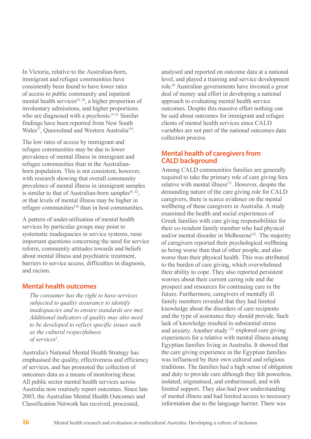In Victoria, relative to the Australian-born, immigrant and refugee communities have consistently been found to have lower rates of access to public community and inpatient mental health services $19, 20$ , a higher proportion of involuntary admissions, and higher proportions who are diagnosed with a psychosis.<sup>19-21</sup> Similar findings have been reported from New South Wales<sup>57</sup>, Oueensland and Western Australia<sup>119</sup>.

The low rates of access by immigrant and refugee communities may be due to lower prevalence of mental illness in immigrant and refugee communities than in the Australianborn population. This is not consistent, however, with research showing that overall community prevalence of mental illness in immigrant samples is similar to that of Australian-born samples<sup>18, 42</sup>, or that levels of mental illness may be higher in refugee communities<sup>120</sup> than in host communities.

A pattern of under-utilisation of mental health services by particular groups may point to systematic inadequacies in service systems, raise important questions concerning the need for service reform, community attitudes towards and beliefs about mental illness and psychiatric treatment, barriers to service access, difficulties in diagnosis, and racism.

#### **Mental health outcomes**

*The consumer has the right to have services subjected to quality assurance to identify inadequacies and to ensure standards are met. Additional indicators of quality may also need to be developed to reflect specific issues such as the cultural respectfulness of services*<sup>1</sup> *.*

Australia's National Mental Health Strategy has emphasised the quality, effectiveness and efficiency of services, and has promoted the collection of outcomes data as a means of monitoring these. All public sector mental health services across Australia now routinely report outcomes. Since late 2003, the Australian Mental Health Outcomes and Classification Network has received, processed,

analysed and reported on outcome data at a national level, and played a training and service development role.10 Australian governments have invested a great deal of money and effort in developing a national approach to evaluating mental health service outcomes. Despite this massive effort nothing can be said about outcomes for immigrant and refugee clients of mental health services since CALD variables are not part of the national outcomes data collection process.

### **Mental health of caregivers from CALD background**

Among CALD communities families are generally required to take the primary role of care giving fora relative with mental illness<sup>121</sup>. However, despite the demanding nature of the care giving role for CALD caregivers, there is scarce evidence on the mental wellbeing of these caregivers in Australia. A study examined the health and social experiences of Greek families with care giving responsibilities for their co-resident family member who had physical and/or mental disorder in Melbourne<sup>122</sup>. The majority of caregivers reported their psychological wellbeing as being worse than that of other people, and also worse than their physical health. This was attributed to the burden of care giving, which overwhelmed their ability to cope. They also reported persistent worries about their current caring role and the prospect and resources for continuing care in the future. Furthermore, caregivers of mentally ill family members revealed that they had limited knowledge about the disorders of care recipients and the type of assistance they should provide. Such lack of knowledge resulted in substantial stress and anxiety. Another study 121 explored care giving experiences for a relative with mental illness among Egyptian families living in Australia. It showed that the care giving experience in the Egyptian families was influenced by their own cultural and religious traditions. The families had a high sense of obligation and duty to provide care although they felt powerless, isolated, stigmatised, and embarrassed, and with limited support. They also had poor understanding of mental illness and had limited access to necessary information due to the language barrier. There was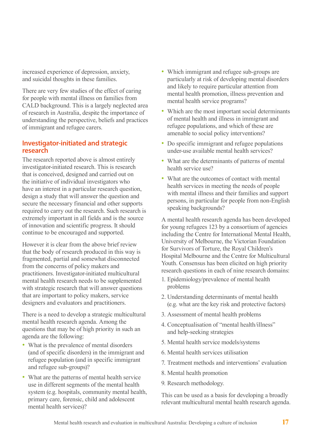increased experience of depression, anxiety, and suicidal thoughts in these families.

There are very few studies of the effect of caring for people with mental illness on families from CALD background. This is a largely neglected area of research in Australia, despite the importance of understanding the perspective, beliefs and practices of immigrant and refugee carers.

## **Investigator-initiated and strategic research**

The research reported above is almost entirely investigator-initiated research. This is research that is conceived, designed and carried out on the initiative of individual investigators who have an interest in a particular research question, design a study that will answer the question and secure the necessary financial and other supports required to carry out the research. Such research is extremely important in all fields and is the source of innovation and scientific progress. It should continue to be encouraged and supported.

However it is clear from the above brief review that the body of research produced in this way is fragmented, partial and somewhat disconnected from the concerns of policy makers and practitioners. Investigator-initiated multicultural mental health research needs to be supplemented with strategic research that will answer questions that are important to policy makers, service designers and evaluators and practitioners.

There is a need to develop a strategic multicultural mental health research agenda. Among the questions that may be of high priority in such an agenda are the following:

- What is the prevalence of mental disorders (and of specific disorders) in the immigrant and refugee population (and in specific immigrant and refugee sub-groups)?
- What are the patterns of mental health service use in different segments of the mental health system (e.g. hospitals, community mental health, primary care, forensic, child and adolescent mental health services)?
- Which immigrant and refugee sub-groups are particularly at risk of developing mental disorders and likely to require particular attention from mental health promotion, illness prevention and mental health service programs?
- Which are the most important social determinants of mental health and illness in immigrant and refugee populations, and which of these are amenable to social policy interventions?
- Do specific immigrant and refugee populations under-use available mental health services?
- What are the determinants of patterns of mental health service use?
- What are the outcomes of contact with mental health services in meeting the needs of people with mental illness and their families and support persons, in particular for people from non-English speaking backgrounds?

A mental health research agenda has been developed for young refugees 123 by a consortium of agencies including the Centre for International Mental Health, University of Melbourne, the Victorian Foundation for Survivors of Torture, the Royal Children's Hospital Melbourne and the Centre for Multicultural Youth. Consensus has been elicited on high priority research questions in each of nine research domains:

- 1. Epidemiology/prevalence of mental health problems
- 2. Understanding determinants of mental health (e.g. what are the key risk and protective factors)
- 3. Assessment of mental health problems
- 4. Conceptualisation of "mental health/illness" and help-seeking strategies
- 5. Mental health service models/systems
- 6. Mental health services utilisation
- 7. Treatment methods and interventions' evaluation
- 8. Mental health promotion
- 9. Research methodology.

This can be used as a basis for developing a broadly relevant multicultural mental health research agenda.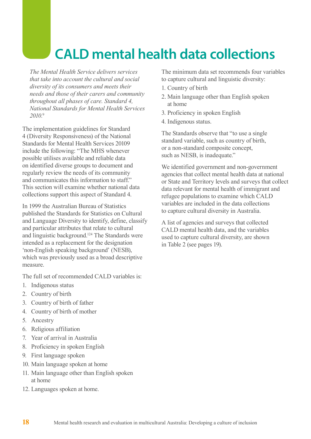# **CALD mental health data collections**

*The Mental Health Service delivers services that take into account the cultural and social diversity of its consumers and meets their needs and those of their carers and community throughout all phases of care. Standard 4, National Standards for Mental Health Services 2010.*<sup>9</sup>

The implementation guidelines for Standard 4 (Diversity Responsiveness) of the National Standards for Mental Health Services 20109 include the following: "The MHS whenever possible utilises available and reliable data on identified diverse groups to document and regularly review the needs of its community and communicates this information to staff." This section will examine whether national data collections support this aspect of Standard 4.

In 1999 the Australian Bureau of Statistics published the Standards for Statistics on Cultural and Language Diversity to identify, define, classify and particular attributes that relate to cultural and linguistic background.124 The Standards were intended as a replacement for the designation 'non-English speaking background' (NESB), which was previously used as a broad descriptive measure.

The full set of recommended CALD variables is:

- 1. Indigenous status
- 2. Country of birth
- 3. Country of birth of father
- 4. Country of birth of mother
- 5. Ancestry
- 6. Religious affiliation
- 7. Year of arrival in Australia
- 8. Proficiency in spoken English
- 9. First language spoken
- 10. Main language spoken at home
- 11. Main language other than English spoken at home
- 12. Languages spoken at home.

The minimum data set recommends four variables to capture cultural and linguistic diversity:

- 1. Country of birth
- 2. Main language other than English spoken at home
- 3. Proficiency in spoken English
- 4. Indigenous status.

The Standards observe that "to use a single standard variable, such as country of birth, or a non-standard composite concept, such as NESB, is inadequate."

We identified government and non-government agencies that collect mental health data at national or State and Territory levels and surveys that collect data relevant for mental health of immigrant and refugee populations to examine which CALD variables are included in the data collections to capture cultural diversity in Australia.

A list of agencies and surveys that collected CALD mental health data, and the variables used to capture cultural diversity, are shown in Table 2 (see pages 19).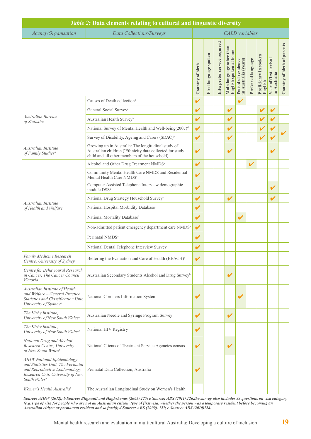| Table 2: Data elements relating to cultural and linguistic diversity                                                                                  |                                                                                                                                                                 |                  |                       |                              |                                                    |                                             |                    |                                  |                                       |                             |
|-------------------------------------------------------------------------------------------------------------------------------------------------------|-----------------------------------------------------------------------------------------------------------------------------------------------------------------|------------------|-----------------------|------------------------------|----------------------------------------------------|---------------------------------------------|--------------------|----------------------------------|---------------------------------------|-----------------------------|
| Agency/Organisation                                                                                                                                   | Data Collections/Surveys                                                                                                                                        |                  |                       |                              |                                                    | <b>CALD</b> variables                       |                    |                                  |                                       |                             |
|                                                                                                                                                       |                                                                                                                                                                 | Country of birth | First language spoken | Interpreter service required | Main language other than<br>English spoken at home | Period of residence<br>in Australia (years) | Preferred language | Proficiency in spoken<br>English | Year of first arrival<br>in Australia | Country of birth of parents |
|                                                                                                                                                       | Causes of Death collection <sup>b</sup>                                                                                                                         | $\checkmark$     |                       |                              |                                                    |                                             |                    |                                  |                                       |                             |
|                                                                                                                                                       | General Social Survey <sup>c</sup>                                                                                                                              | V                |                       |                              | V                                                  |                                             |                    |                                  | V                                     |                             |
| Australian Bureau<br>of Statistics                                                                                                                    | Australian Health Survey <sup>b</sup>                                                                                                                           | V                |                       |                              | V                                                  |                                             |                    |                                  |                                       |                             |
|                                                                                                                                                       | National Survey of Mental Health and Well-being(2007) <sup>d</sup>                                                                                              | V                |                       |                              | V                                                  |                                             |                    |                                  | V                                     |                             |
|                                                                                                                                                       | Survey of Disability, Ageing and Carers (SDAC) <sup>e</sup>                                                                                                     | V                |                       |                              | V                                                  |                                             |                    |                                  | V                                     |                             |
| Australian Institute<br>of Family Studies <sup>b</sup>                                                                                                | Growing up in Australia: The longitudinal study of<br>Australian children (*Ethnicity data collected for study<br>child and all other members of the household) | V                |                       |                              | V                                                  |                                             |                    |                                  | V                                     |                             |
|                                                                                                                                                       | Alcohol and Other Drug Treatment NMDS <sup>a</sup>                                                                                                              | V                |                       |                              |                                                    |                                             | $\mathbf v$        |                                  |                                       |                             |
| Australian Institute<br>of Health and Welfare                                                                                                         | Community Mental Health Care NMDS and Residential<br>Mental Health Care NMDS <sup>a</sup>                                                                       | V                |                       |                              |                                                    |                                             |                    |                                  |                                       |                             |
|                                                                                                                                                       | Computer Assisted Telephone Interview demographic<br>module DSS <sup>a</sup>                                                                                    | V                |                       |                              |                                                    |                                             |                    |                                  | V                                     |                             |
|                                                                                                                                                       | National Drug Strategy Household Survey <sup>b</sup>                                                                                                            | V                |                       |                              | $\mathbf v$                                        |                                             |                    |                                  | V                                     |                             |
|                                                                                                                                                       | National Hospital Morbidity Database <sup>b</sup>                                                                                                               | V                |                       |                              |                                                    |                                             |                    |                                  |                                       |                             |
|                                                                                                                                                       | National Mortality Database <sup>b</sup>                                                                                                                        | V                |                       |                              |                                                    | V                                           |                    |                                  |                                       |                             |
|                                                                                                                                                       | Non-admitted patient emergency department care NMDS <sup>a</sup>                                                                                                | V                |                       |                              |                                                    |                                             |                    |                                  |                                       |                             |
|                                                                                                                                                       | Perinatal NMDS <sup>a</sup>                                                                                                                                     | V                |                       |                              |                                                    |                                             |                    |                                  |                                       |                             |
|                                                                                                                                                       | National Dental Telephone Interview Survey <sup>b</sup>                                                                                                         | V                |                       |                              |                                                    |                                             |                    |                                  |                                       |                             |
| Family Medicine Research<br>Centre, University of Sydney                                                                                              | Bettering the Evaluation and Care of Health (BEACH) <sup>b</sup>                                                                                                |                  |                       |                              |                                                    |                                             |                    |                                  |                                       |                             |
| Centre for Behavioural Research<br>in Cancer, The Cancer Council<br>Victoria                                                                          | Australian Secondary Students Alcohol and Drug Survey <sup>b</sup>                                                                                              |                  |                       |                              | V                                                  |                                             |                    |                                  |                                       |                             |
| Australian Institute of Health<br>and Welfare - General Practice<br>Statistics and Classification Unit,<br>University of Sydneyb                      | National Coroners Information System                                                                                                                            | V                |                       |                              |                                                    | V                                           |                    |                                  |                                       |                             |
| The Kirby Institute,<br>University of New South Wales <sup>b</sup>                                                                                    | Australian Needle and Syringe Program Survey                                                                                                                    | V                |                       |                              | V                                                  |                                             |                    |                                  |                                       |                             |
| The Kirby Institute,<br>University of New South Wales <sup>b</sup>                                                                                    | National HIV Registry                                                                                                                                           | V                |                       |                              |                                                    |                                             |                    |                                  |                                       |                             |
| National Drug and Alcohol<br>Research Centre, University<br>of New South Walesb                                                                       | National Clients of Treatment Service Agencies census                                                                                                           | V                |                       |                              | V                                                  |                                             |                    |                                  |                                       |                             |
| AIHW National Epidemiology<br>and Statistics Unit, The Perinatal<br>and Reproductive Epidemiology<br>Research Unit, University of New<br>South Walesb | Perinatal Data Collection, Australia                                                                                                                            | V                |                       |                              |                                                    |                                             |                    |                                  |                                       |                             |
| Women's Health Australiab                                                                                                                             | The Australian Longitudinal Study on Women's Health                                                                                                             |                  |                       |                              |                                                    |                                             |                    |                                  |                                       |                             |

L

*Source: AIHW (2012); b Source: Blignault and Haghshenas (2005).125; c Source: ABS (2011).126,the survey also includes 33 questions on visa category (e.g. type of visa for people who are not an Australian citizen, type of first visa, whether the person was a temporary resident before becoming an Australian citizen or permanent resident and so forth); d Source: ABS (2009). 127; e Source: ABS (2010)128.*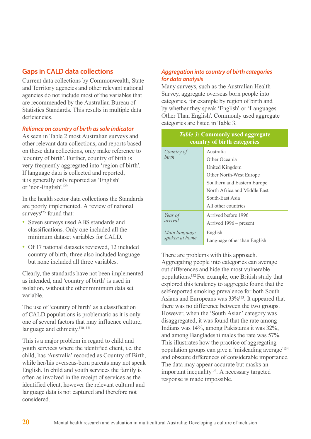## **Gaps in CALD data collections**

Current data collections by Commonwealth, State and Territory agencies and other relevant national agencies do not include most of the variables that are recommended by the Australian Bureau of Statistics Standards. This results in multiple data deficiencies.

#### *Reliance on country of birth as sole indicator*

As seen in Table 2 most Australian surveys and other relevant data collections, and reports based on these data collections, only make reference to 'country of birth'. Further, country of birth is very frequently aggregated into 'region of birth'. If language data is collected and reported, it is generally only reported as 'English' or 'non-English'.129

In the health sector data collections the Standards are poorly implemented. A review of national surveys $125$  found that:

- Seven surveys used ABS standards and classifications. Only one included all the minimum dataset variables for CALD.
- Of 17 national datasets reviewed, 12 included country of birth, three also included language but none included all three variables.

Clearly, the standards have not been implemented as intended, and 'country of birth' is used in isolation, without the other minimum data set variable.

The use of 'country of birth' as a classification of CALD populations is problematic as it is only one of several factors that may influence culture, language and ethnicity.<sup>130, 131</sup>

This is a major problem in regard to child and youth services where the identified client, i.e. the child, has 'Australia' recorded as Country of Birth, while her/his overseas-born parents may not speak English. In child and youth services the family is often as involved in the receipt of services as the identified client, however the relevant cultural and language data is not captured and therefore not considered.

#### *Aggregation into country of birth categories for data analysis*

Many surveys, such as the Australian Health Survey, aggregate overseas born people into categories, for example by region of birth and by whether they speak 'English' or 'Languages Other Than English'. Commonly used aggregate categories are listed in Table 3.

| <i>Table 3:</i> Commonly used aggregate<br>country of birth categories |                                                                                                                                         |  |  |  |  |
|------------------------------------------------------------------------|-----------------------------------------------------------------------------------------------------------------------------------------|--|--|--|--|
| Country of<br><i>hirth</i>                                             | Australia<br>Other Oceania<br>United Kingdom                                                                                            |  |  |  |  |
|                                                                        | <b>Other North-West Europe</b><br>Southern and Eastern Europe<br>North Africa and Middle East<br>South-East Asia<br>All other countries |  |  |  |  |
| Year of<br>arrival                                                     | Arrived before 1996<br>Arrived 1996 – present                                                                                           |  |  |  |  |
| Main language<br>spoken at home                                        | English<br>Language other than English                                                                                                  |  |  |  |  |

There are problems with this approach. Aggregating people into categories can average out differences and hide the most vulnerable populations.132 For example, one British study that explored this tendency to aggregate found that the self-reported smoking prevalence for both South Asians and Europeans was 33%133. It appeared that there was no difference between the two groups. However, when the 'South Asian' category was disaggregated, it was found that the rate among Indians was 14%, among Pakistanis it was 32%, and among Bangladeshi males the rate was 57%. This illustrates how the practice of aggregating population groups can give a 'misleading average'134 and obscure differences of considerable importance. The data may appear accurate but masks an important inequality<sup>133</sup>. A necessary targeted response is made impossible.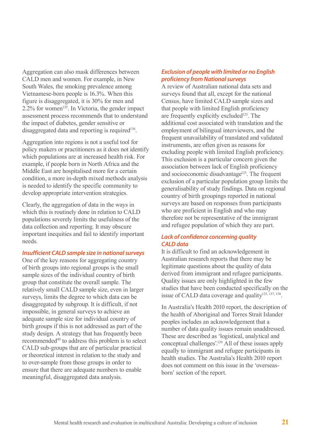Aggregation can also mask differences between CALD men and women. For example, in New South Wales, the smoking prevalence among Vietnamese-born people is 16.3%. When this figure is disaggregated, it is 30% for men and  $2.2\%$  for women<sup>135</sup>. In Victoria, the gender impact assessment process recommends that to understand the impact of diabetes, gender sensitive or disaggregated data and reporting is required<sup>136</sup>.

Aggregation into regions is not a useful tool for policy makers or practitioners as it does not identify which populations are at increased health risk. For example, if people born in North Africa and the Middle East are hospitalised more for a certain condition, a more in-depth mixed methods analysis is needed to identify the specific community to develop appropriate intervention strategies.

Clearly, the aggregation of data in the ways in which this is routinely done in relation to CALD populations severely limits the usefulness of the data collection and reporting. It may obscure important inequities and fail to identify important needs.

#### *Insufficient CALD sample size in national surveys*

One of the key reasons for aggregating country of birth groups into regional groups is the small sample sizes of the individual country of birth group that constitute the overall sample. The relatively small CALD sample size, even in larger surveys, limits the degree to which data can be disaggregated by subgroup. It is difficult, if not impossible, in general surveys to achieve an adequate sample size for individual country of birth groups if this is not addressed as part of the study design. A strategy that has frequently been recommended<sup>40</sup> to address this problem is to select CALD sub-groups that are of particular practical or theoretical interest in relation to the study and to over-sample from those groups in order to ensure that there are adequate numbers to enable meaningful, disaggregated data analysis.

#### *Exclusion of people with limited or no English proficiency from National surveys*

A review of Australian national data sets and surveys found that all, except for the national Census, have limited CALD sample sizes and that people with limited English proficiency are frequently explicitly excluded<sup>125</sup>. The additional cost associated with translation and the employment of bilingual interviewers, and the frequent unavailability of translated and validated instruments, are often given as reasons for excluding people with limited English proficiency. This exclusion is a particular concern given the association between lack of English proficiency and socioeconomic disadvantage<sup>125</sup>. The frequent exclusion of a particular population group limits the generalisability of study findings. Data on regional country of birth groupings reported in national surveys are based on responses from participants who are proficient in English and who may therefore not be representative of the immigrant and refugee population of which they are part.

#### *Lack of confidence concerning quality CALD data*

It is difficult to find an acknowledgement in Australian research reports that there may be legitimate questions about the quality of data derived from immigrant and refugee participants. Quality issues are only highlighted in the few studies that have been conducted specifically on the issue of CALD data coverage and quality $125, 137, 138$ .

In Australia's Health 2010 report, the description of the health of Aboriginal and Torres Strait Islander peoples includes an acknowledgement that a number of data quality issues remain unaddressed. These are described as 'logistical, analytical and conceptual challenges'.139 All of these issues apply equally to immigrant and refugee participants in health studies. The Australia's Health 2010 report does not comment on this issue in the 'overseasborn' section of the report.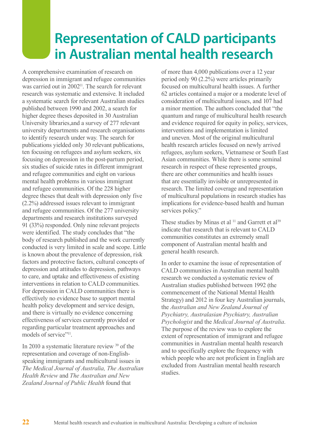## **Representation of CALD participants in Australian mental health research**

A comprehensive examination of research on depression in immigrant and refugee communities was carried out in 2002<sup>11</sup>. The search for relevant research was systematic and extensive. It included a systematic search for relevant Australian studies published between 1990 and 2002, a search for higher degree theses deposited in 30 Australian University libraries,and a survey of 277 relevant university departments and research organisations to identify research under way. The search for publications yielded only 30 relevant publications, ten focusing on refugees and asylum seekers, six focusing on depression in the post-partum period, six studies of suicide rates in different immigrant and refugee communities and eight on various mental health problems in various immigrant and refugee communities. Of the 228 higher degree theses that dealt with depression only five (2.2%) addressed issues relevant to immigrant and refugee communities. Of the 277 university departments and research institutions surveyed 91 (33%) responded. Only nine relevant projects were identified. The study concludes that "the body of research published and the work currently conducted is very limited in scale and scope. Little is known about the prevalence of depression, risk factors and protective factors, cultural concepts of depression and attitudes to depression, pathways to care, and uptake and effectiveness of existing interventions in relation to CALD communities. For depression in CALD communities there is effectively no evidence base to support mental health policy development and service design, and there is virtually no evidence concerning effectiveness of services currently provided or regarding particular treatment approaches and models of service"<sup>11</sup>.

In 2010 a systematic literature review 39 of the representation and coverage of non-Englishspeaking immigrants and multicultural issues in *The Medical Journal of Australia, The Australian Health Review* and *The Australian and New Zealand Journal of Public Health* found that

of more than 4,000 publications over a 12 year period only 90 (2.2%) were articles primarily focused on multicultural health issues. A further 62 articles contained a major or a moderate level of consideration of multicultural issues, and 107 had a minor mention. The authors concluded that "the quantum and range of multicultural health research and evidence required for equity in policy, services, interventions and implementation is limited and uneven. Most of the original multicultural health research articles focused on newly arrived refugees, asylum seekers, Vietnamese or South East Asian communities. While there is some seminal research in respect of these represented groups, there are other communities and health issues that are essentially invisible or unrepresented in research. The limited coverage and representation of multicultural populations in research studies has implications for evidence-based health and human services policy."

These studies by Minas et al<sup>11</sup> and Garrett et al<sup>39</sup> indicate that research that is relevant to CALD communities constitutes an extremely small component of Australian mental health and general health research.

In order to examine the issue of representation of CALD communities in Australian mental health research we conducted a systematic review of Australian studies published between 1992 (the commencement of the National Mental Health Strategy) and 2012 in four key Australian journals, the *Australian and New Zealand Journal of Psychiatry, Australasian Psychiatry, Australian Psychologist* and the *Medical Journal of Australia*. The purpose of the review was to explore the extent of representation of immigrant and refugee communities in Australian mental health research and to specifically explore the frequency with which people who are not proficient in English are excluded from Australian mental health research studies.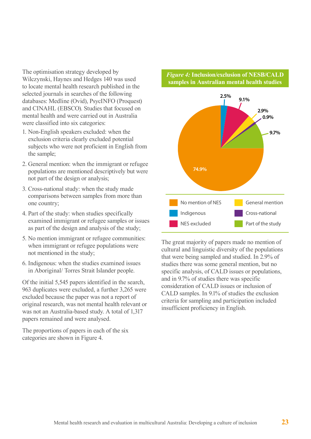The optimisation strategy developed by Wilczynski, Haynes and Hedges 140 was used to locate mental health research published in the selected journals in searches of the following databases: Medline (Ovid), PsycINFO (Proquest) and CINAHL (EBSCO). Studies that focused on mental health and were carried out in Australia were classified into six categories:

- 1. Non-English speakers excluded: when the exclusion criteria clearly excluded potential subjects who were not proficient in English from the sample;
- 2. General mention: when the immigrant or refugee populations are mentioned descriptively but were not part of the design or analysis;
- 3. Cross-national study: when the study made comparisons between samples from more than one country;
- 4. Part of the study: when studies specifically examined immigrant or refugee samples or issues as part of the design and analysis of the study;
- 5. No mention immigrant or refugee communities: when immigrant or refugee populations were not mentioned in the study;
- 6. Indigenous: when the studies examined issues in Aboriginal/ Torres Strait Islander people.

Of the initial 5,545 papers identified in the search, 963 duplicates were excluded, a further 3,265 were excluded because the paper was not a report of original research, was not mental health relevant or was not an Australia-based study. A total of 1,317 papers remained and were analysed.

The proportions of papers in each of the six categories are shown in Figure 4.

#### *Figure 4:* **Inclusion/exclusion of NESB/CALD samples in Australian mental health studies**



The great majority of papers made no mention of cultural and linguistic diversity of the populations that were being sampled and studied. In 2.9% of studies there was some general mention, but no specific analysis, of CALD issues or populations, and in 9.7% of studies there was specific consideration of CALD issues or inclusion of CALD samples. In 9.1% of studies the exclusion criteria for sampling and participation included insufficient proficiency in English.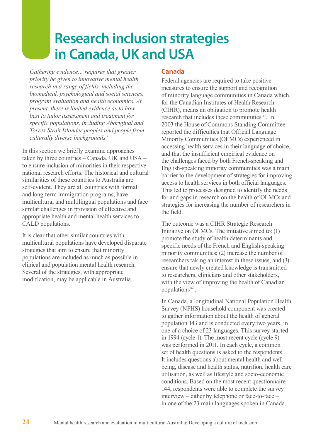## **Research inclusion strategies in Canada, UK and USA**

*Gathering evidence… requires that greater priority be given to innovative mental health research in a range of fields, including the biomedical, psychological and social sciences, program evaluation and health economics. At present, there is limited evidence as to how best to tailor assessment and treatment for specific populations, including Aboriginal and Torres Strait Islander peoples and people from culturally diverse backgrounds.1*

In this section we briefly examine approaches taken by three countries – Canada, UK and USA – to ensure inclusion of minorities in their respective national research efforts. The historical and cultural similarities of these countries to Australia are self-evident. They are all countries with formal and long-term immigration programs, have multicultural and multilingual populations and face similar challenges in provision of effective and appropriate health and mental health services to CALD populations.

It is clear that other similar countries with multicultural populations have developed disparate strategies that aim to ensure that minority populations are included as much as possible in clinical and population mental health research. Several of the strategies, with appropriate modification, may be applicable in Australia.

## **Canada**

Federal agencies are required to take positive measures to ensure the support and recognition of minority language communities in Canada which, for the Canadian Institutes of Health Research (CIHR), means an obligation to promote health research that includes these communities<sup>141</sup>. In 2003 the House of Commons Standing Committee reported the difficulties that Official Language Minority Communities (OLMCs) experienced in accessing health services in their language of choice, and that the insufficient empirical evidence on the challenges faced by both French-speaking and English-speaking minority communities was a main barrier to the development of strategies for improving access to health services in both official languages. This led to processes designed to identify the needs for and gaps in research on the health of OLMCs and strategies for increasing the number of researchers in the field.

The outcome was a CIHR Strategic Research Initiative on OLMCs. The initiative aimed to: (1) promote the study of health determinants and specific needs of the French and English-speaking minority communities; (2) increase the number of researchers taking an interest in these issues; and (3) ensure that newly created knowledge is transmitted to researchers, clinicians and other stakeholders, with the view of improving the health of Canadian populations<sup>142</sup>.

In Canada, a longitudinal National Population Health Survey (NPHS) household component was created to gather information about the health of general population 143 and is conducted every two years, in one of a choice of 23 languages. This survey started in 1994 (cycle 1). The most recent cycle (cycle 9) was performed in 2011. In each cycle, a common set of health questions is asked to the respondents. It includes questions about mental health and wellbeing, disease and health status, nutrition, health care utilisation, as well as lifestyle and socio-economic conditions. Based on the most recent questionnaire 144, respondents were able to complete the survey interview – either by telephone or face-to-face – in one of the 23 main languages spoken in Canada.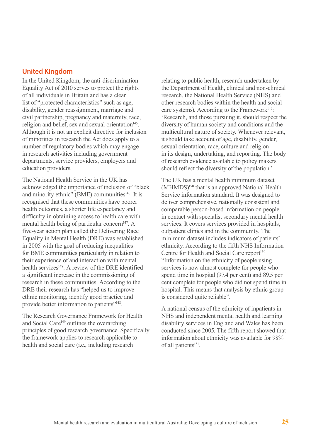#### **United Kingdom**

In the United Kingdom, the anti-discrimination Equality Act of 2010 serves to protect the rights of all individuals in Britain and has a clear list of "protected characteristics" such as age, disability, gender reassignment, marriage and civil partnership, pregnancy and maternity, race, religion and belief, sex and sexual orientation $145$ . Although it is not an explicit directive for inclusion of minorities in research the Act does apply to a number of regulatory bodies which may engage in research activities including government departments, service providers, employers and education providers.

The National Health Service in the UK has acknowledged the importance of inclusion of "black and minority ethnic" (BME) communities $146$ . It is recognised that these communities have poorer health outcomes, a shorter life expectancy and difficulty in obtaining access to health care with mental health being of particular concern<sup>147</sup>. A five-year action plan called the Delivering Race Equality in Mental Health (DRE) was established in 2005 with the goal of reducing inequalities for BME communities particularly in relation to their experience of and interaction with mental health services<sup>148</sup>. A review of the DRE identified a significant increase in the commissioning of research in these communities. According to the DRE their research has "helped us to improve ethnic monitoring, identify good practice and provide better information to patients"148.

The Research Governance Framework for Health and Social Care<sup>149</sup> outlines the overarching principles of good research governance. Specifically the framework applies to research applicable to health and social care (i.e., including research

relating to public health, research undertaken by the Department of Health, clinical and non-clinical research, the National Health Service (NHS) and other research bodies within the health and social care systems). According to the Framework<sup>149</sup>: 'Research, and those pursuing it, should respect the diversity of human society and conditions and the multicultural nature of society. Whenever relevant, it should take account of age, disability, gender, sexual orientation, race, culture and religion in its design, undertaking, and reporting. The body of research evidence available to policy makers should reflect the diversity of the population.'

The UK has a mental health minimum dataset (MHMDS)150 that is an approved National Health Service information standard. It was designed to deliver comprehensive, nationally consistent and comparable person-based information on people in contact with specialist secondary mental health services. It covers services provided in hospitals, outpatient clinics and in the community. The minimum dataset includes indicators of patients' ethnicity. According to the fifth NHS Information Centre for Health and Social Care report<sup>150</sup> "Information on the ethnicity of people using services is now almost complete for people who spend time in hospital (97.4 per cent) and 89.5 per cent complete for people who did not spend time in hospital. This means that analysis by ethnic group is considered quite reliable".

A national census of the ethnicity of inpatients in NHS and independent mental health and learning disability services in England and Wales has been conducted since 2005. The fifth report showed that information about ethnicity was available for 98% of all patients<sup>151</sup>.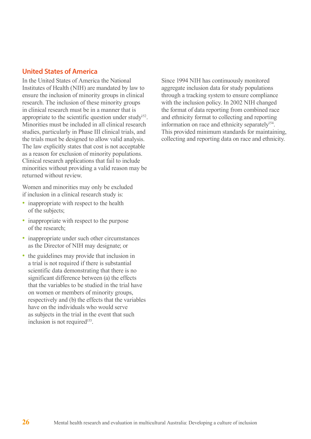### **United States of America**

In the United States of America the National Institutes of Health (NIH) are mandated by law to ensure the inclusion of minority groups in clinical research. The inclusion of these minority groups in clinical research must be in a manner that is appropriate to the scientific question under study<sup>152</sup>. Minorities must be included in all clinical research studies, particularly in Phase III clinical trials, and the trials must be designed to allow valid analysis. The law explicitly states that cost is not acceptable as a reason for exclusion of minority populations. Clinical research applications that fail to include minorities without providing a valid reason may be returned without review.

Women and minorities may only be excluded if inclusion in a clinical research study is:

- inappropriate with respect to the health of the subjects;
- inappropriate with respect to the purpose of the research;
- inappropriate under such other circumstances as the Director of NIH may designate; or
- the guidelines may provide that inclusion in a trial is not required if there is substantial scientific data demonstrating that there is no significant difference between (a) the effects that the variables to be studied in the trial have on women or members of minority groups, respectively and (b) the effects that the variables have on the individuals who would serve as subjects in the trial in the event that such inclusion is not required<sup>153</sup>.

Since 1994 NIH has continuously monitored aggregate inclusion data for study populations through a tracking system to ensure compliance with the inclusion policy. In 2002 NIH changed the format of data reporting from combined race and ethnicity format to collecting and reporting information on race and ethnicity separately<sup>154</sup>. This provided minimum standards for maintaining, collecting and reporting data on race and ethnicity.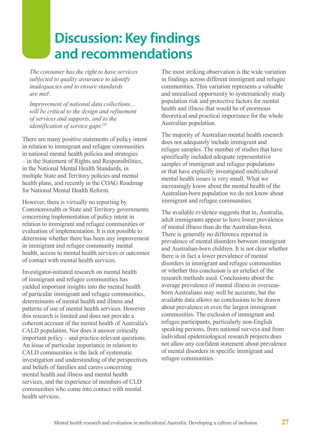## **Discussion: Key findings and recommendations**

*The consumer has the right to have services subjected to quality assurance to identify inadequacies and to ensure standards are met1 .*

*Improvement of national data collections… will be critical to the design and refinement of services and supports, and to the identification of service gaps.155*

There are many positive statements of policy intent in relation to immigrant and refugee communities in national mental health policies and strategies – in the Statement of Rights and Responsibilities, in the National Mental Health Standards, in multiple State and Territory policies and mental health plans, and recently in the COAG Roadmap for National Mental Health Reform.

However, there is virtually no reporting by Commonwealth or State and Territory governments concerning implementation of policy intent in relation to immigrant and refugee communities or evaluation of implementation. It is not possible to determine whether there has been any improvement in immigrant and refugee community mental health, access to mental health services or outcomes of contact with mental health services.

Investigator-initiated research on mental health of immigrant and refugee communities has yielded important insights into the mental health of particular immigrant and refugee communities, determinants of mental health and illness and patterns of use of mental health services. However this research is limited and does not provide a coherent account of the mental health of Australia's CALD population. Nor does it answer critically important policy – and practice-relevant questions. An issue of particular importance in relation to CALD communities is the lack of systematic investigation and understanding of the perspectives and beliefs of families and carers concerning mental health and illness and mental health services, and the experience of members of CLD communities who come into contact with mental health services.

The most striking observation is the wide variation in findings across different immigrant and refugee communities. This variation represents a valuable and unrealised opportunity to systematically study population risk and protective factors for mental health and illness that would be of enormous theoretical and practical importance for the whole Australian population.

The majority of Australian mental health research does not adequately include immigrant and refugee samples. The number of studies that have specifically included adequate representative samples of immigrant and refugee populations or that have explicitly investigated multicultural mental health issues is very small. What we increasingly know about the mental health of the Australian-born population we do not know about immigrant and refugee communities.

The available evidence suggests that in, Australia, adult immigrants appear to have lower prevalence of mental illness than do the Australian-born. There is generally no difference reported in prevalence of mental disorders between immigrant and Australian-born children. It is not clear whether there is in fact a lower prevalence of mental disorders in immigrant and refugee communities or whether this conclusion is an artefact of the research methods used. Conclusions about the average prevalence of mental illness in overseasborn Australians may well be accurate, but the available data allows no conclusions to be drawn about prevalence in even the largest immigrant communities. The exclusion of immigrant and refugee participants, particularly non-English speaking persons, from national surveys and from individual epidemiological research projects does not allow any confident statement about prevalence of mental disorders in specific immigrant and refugee communities.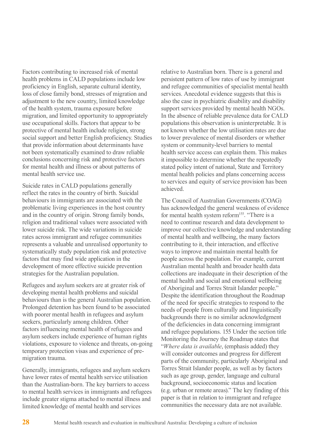Factors contributing to increased risk of mental health problems in CALD populations include low proficiency in English, separate cultural identity, loss of close family bond, stresses of migration and adjustment to the new country, limited knowledge of the health system, trauma exposure before migration, and limited opportunity to appropriately use occupational skills. Factors that appear to be protective of mental health include religion, strong social support and better English proficiency. Studies that provide information about determinants have not been systematically examined to draw reliable conclusions concerning risk and protective factors for mental health and illness or about patterns of mental health service use.

Suicide rates in CALD populations generally reflect the rates in the country of birth. Suicidal behaviours in immigrants are associated with the problematic living experiences in the host country and in the country of origin. Strong family bonds, religion and traditional values were associated with lower suicide risk. The wide variations in suicide rates across immigrant and refugee communities represents a valuable and unrealised opportunity to systematically study population risk and protective factors that may find wide application in the development of more effective suicide prevention strategies for the Australian population.

Refugees and asylum seekers are at greater risk of developing mental health problems and suicidal behaviours than is the general Australian population. Prolonged detention has been found to be associated with poorer mental health in refugees and asylum seekers, particularly among children. Other factors influencing mental health of refugees and asylum seekers include experience of human rights violations, exposure to violence and threats, on-going temporary protection visas and experience of premigration trauma.

Generally, immigrants, refugees and asylum seekers have lower rates of mental health service utilisation than the Australian-born. The key barriers to access to mental health services in immigrants and refugees include greater stigma attached to mental illness and limited knowledge of mental health and services

relative to Australian born. There is a general and persistent pattern of low rates of use by immigrant and refugee communities of specialist mental health services. Anecdotal evidence suggests that this is also the case in psychiatric disability and disability support services provided by mental health NGOs. In the absence of reliable prevalence data for CALD populations this observation is uninterpretable. It is not known whether the low utilisation rates are due to lower prevalence of mental disorders or whether system or community-level barriers to mental health service access can explain them. This makes it impossible to determine whether the repeatedly stated policy intent of national, State and Territory mental health policies and plans concerning access to services and equity of service provision has been achieved.

The Council of Australian Governments (COAG) has acknowledged the general weakness of evidence for mental health system reform<sup>155</sup>. "There is a need to continue research and data development to improve our collective knowledge and understanding of mental health and wellbeing, the many factors contributing to it, their interaction, and effective ways to improve and maintain mental health for people across the population. For example, current Australian mental health and broader health data collections are inadequate in their description of the mental health and social and emotional wellbeing of Aboriginal and Torres Strait Islander people." Despite the identification throughout the Roadmap of the need for specific strategies to respond to the needs of people from culturally and linguistically backgrounds there is no similar acknowledgment of the deficiencies in data concerning immigrant and refugee populations. 155 Under the section title Monitoring the Journey the Roadmap states that "*Where data is available*, (emphasis added) they will consider outcomes and progress for different parts of the community, particularly Aboriginal and Torres Strait Islander people, as well as by factors such as age group, gender, language and cultural background, socioeconomic status and location (e.g. urban or remote areas)." The key finding of this paper is that in relation to immigrant and refugee communities the necessary data are not available.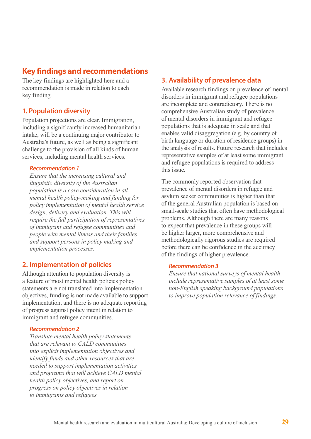## **Key findings and recommendations**

The key findings are highlighted here and a recommendation is made in relation to each key finding.

## **1. Population diversity**

Population projections are clear. Immigration, including a significantly increased humanitarian intake, will be a continuing major contributor to Australia's future, as well as being a significant challenge to the provision of all kinds of human services, including mental health services.

#### *Recommendation 1*

*Ensure that the increasing cultural and linguistic diversity of the Australian population is a core consideration in all mental health policy-making and funding for policy implementation of mental health service design, delivery and evaluation. This will require the full participation of representatives of immigrant and refugee communities and people with mental illness and their families and support persons in policy making and implementation processes.*

## **2. Implementation of policies**

Although attention to population diversity is a feature of most mental health policies policy statements are not translated into implementation objectives, funding is not made available to support implementation, and there is no adequate reporting of progress against policy intent in relation to immigrant and refugee communities.

#### *Recommendation 2*

*Translate mental health policy statements that are relevant to CALD communities into explicit implementation objectives and identify funds and other resources that are needed to support implementation activities and programs that will achieve CALD mental health policy objectives, and report on progress on policy objectives in relation to immigrants and refugees.*

## **3. Availability of prevalence data**

Available research findings on prevalence of mental disorders in immigrant and refugee populations are incomplete and contradictory. There is no comprehensive Australian study of prevalence of mental disorders in immigrant and refugee populations that is adequate in scale and that enables valid disaggregation (e.g. by country of birth language or duration of residence groups) in the analysis of results. Future research that includes representative samples of at least some immigrant and refugee populations is required to address this issue.

The commonly reported observation that prevalence of mental disorders in refugee and asylum seeker communities is higher than that of the general Australian population is based on small-scale studies that often have methodological problems. Although there are many reasons to expect that prevalence in these groups will be higher larger, more comprehensive and methodologically rigorous studies are required before there can be confidence in the accuracy of the findings of higher prevalence.

#### *Recommendation 3*

*Ensure that national surveys of mental health include representative samples of at least some non-English speaking background populations to improve population relevance of findings.*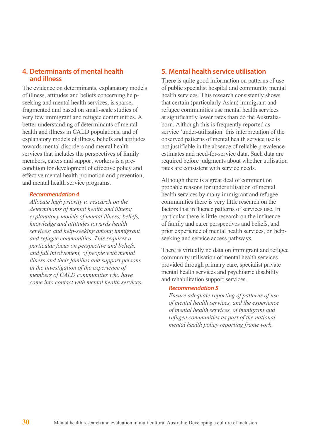### **4. Determinants of mental health and illness**

The evidence on determinants, explanatory models of illness, attitudes and beliefs concerning helpseeking and mental health services, is sparse, fragmented and based on small-scale studies of very few immigrant and refugee communities. A better understanding of determinants of mental health and illness in CALD populations, and of explanatory models of illness, beliefs and attitudes towards mental disorders and mental health services that includes the perspectives of family members, carers and support workers is a precondition for development of effective policy and effective mental health promotion and prevention, and mental health service programs.

#### *Recommendation 4*

*Allocate high priority to research on the determinants of mental health and illness; explanatory models of mental illness; beliefs, knowledge and attitudes towards health services; and help-seeking among immigrant and refugee communities. This requires a particular focus on perspective and beliefs, and full involvement, of people with mental illness and their families and support persons in the investigation of the experience of members of CALD communities who have come into contact with mental health services.*

### **5. Mental health service utilisation**

There is quite good information on patterns of use of public specialist hospital and community mental health services. This research consistently shows that certain (particularly Asian) immigrant and refugee communities use mental health services at significantly lower rates than do the Australiaborn. Although this is frequently reported as service 'under-utilisation' this interpretation of the observed patterns of mental health service use is not justifiable in the absence of reliable prevalence estimates and need-for-service data. Such data are required before judgments about whether utilisation rates are consistent with service needs.

Although there is a great deal of comment on probable reasons for underutilisation of mental health services by many immigrant and refugee communities there is very little research on the factors that influence patterns of services use. In particular there is little research on the influence of family and carer perspectives and beliefs, and prior experience of mental health services, on helpseeking and service access pathways.

There is virtually no data on immigrant and refugee community utilisation of mental health services provided through primary care, specialist private mental health services and psychiatric disability and rehabilitation support services.

#### *Recommendation 5*

*Ensure adequate reporting of patterns of use of mental health services, and the experience of mental health services, of immigrant and refugee communities as part of the national mental health policy reporting framework.*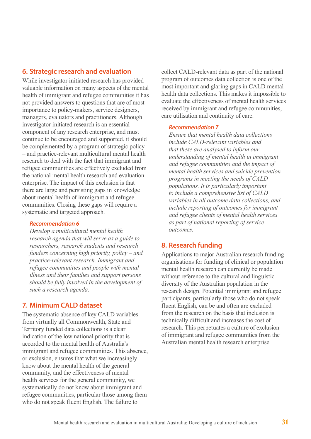## **6. Strategic research and evaluation**

While investigator-initiated research has provided valuable information on many aspects of the mental health of immigrant and refugee communities it has not provided answers to questions that are of most importance to policy-makers, service designers, managers, evaluators and practitioners. Although investigator-initiated research is an essential component of any research enterprise, and must continue to be encouraged and supported, it should be complemented by a program of strategic policy – and practice-relevant multicultural mental health research to deal with the fact that immigrant and refugee communities are effectively excluded from the national mental health research and evaluation enterprise. The impact of this exclusion is that there are large and persisting gaps in knowledge about mental health of immigrant and refugee communities. Closing these gaps will require a systematic and targeted approach.

#### *Recommendation 6*

*Develop a multicultural mental health research agenda that will serve as a guide to researchers, research students and research funders concerning high priority, policy – and practice-relevant research. Immigrant and refugee communities and people with mental illness and their families and support persons should be fully involved in the development of such a research agenda.*

## **7. Minimum CALD dataset**

The systematic absence of key CALD variables from virtually all Commonwealth, State and Territory funded data collections is a clear indication of the low national priority that is accorded to the mental health of Australia's immigrant and refugee communities. This absence, or exclusion, ensures that what we increasingly know about the mental health of the general community, and the effectiveness of mental health services for the general community, we systematically do not know about immigrant and refugee communities, particular those among them who do not speak fluent English. The failure to

collect CALD-relevant data as part of the national program of outcomes data collection is one of the most important and glaring gaps in CALD mental health data collections. This makes it impossible to evaluate the effectiveness of mental health services received by immigrant and refugee communities, care utilisation and continuity of care.

#### *Recommendation 7*

*Ensure that mental health data collections include CALD-relevant variables and that these are analysed to inform our understanding of mental health in immigrant and refugee communities and the impact of mental health services and suicide prevention programs in meeting the needs of CALD populations. It is particularly important to include a comprehensive list of CALD variables in all outcome data collections, and include reporting of outcomes for immigrant and refugee clients of mental health services as part of national reporting of service outcomes.*

## **8. Research funding**

Applications to major Australian research funding organisations for funding of clinical or population mental health research can currently be made without reference to the cultural and linguistic diversity of the Australian population in the research design. Potential immigrant and refugee participants, particularly those who do not speak fluent English, can be and often are excluded from the research on the basis that inclusion is technically difficult and increases the cost of research. This perpetuates a culture of exclusion of immigrant and refugee communities from the Australian mental health research enterprise.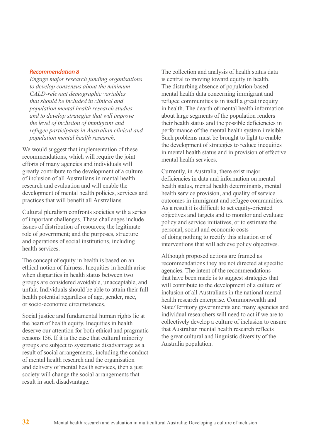#### *Recommendation 8*

*Engage major research funding organisations to develop consensus about the minimum CALD-relevant demographic variables that should be included in clinical and population mental health research studies and to develop strategies that will improve the level of inclusion of immigrant and refugee participants in Australian clinical and population mental health research.*

We would suggest that implementation of these recommendations, which will require the joint efforts of many agencies and individuals will greatly contribute to the development of a culture of inclusion of all Australians in mental health research and evaluation and will enable the development of mental health policies, services and practices that will benefit all Australians.

Cultural pluralism confronts societies with a series of important challenges. These challenges include issues of distribution of resources; the legitimate role of government; and the purposes, structure and operations of social institutions, including health services.

The concept of equity in health is based on an ethical notion of fairness. Inequities in health arise when disparities in health status between two groups are considered avoidable, unacceptable, and unfair. Individuals should be able to attain their full health potential regardless of age, gender, race, or socio-economic circumstances.

Social justice and fundamental human rights lie at the heart of health equity. Inequities in health deserve our attention for both ethical and pragmatic reasons 156. If it is the case that cultural minority groups are subject to systematic disadvantage as a result of social arrangements, including the conduct of mental health research and the organisation and delivery of mental health services, then a just society will change the social arrangements that result in such disadvantage.

The collection and analysis of health status data is central to moving toward equity in health. The disturbing absence of population-based mental health data concerning immigrant and refugee communities is in itself a great inequity in health. The dearth of mental health information about large segments of the population renders their health status and the possible deficiencies in performance of the mental health system invisible. Such problems must be brought to light to enable the development of strategies to reduce inequities in mental health status and in provision of effective mental health services.

Currently, in Australia, there exist major deficiencies in data and information on mental health status, mental health determinants, mental health service provision, and quality of service outcomes in immigrant and refugee communities. As a result it is difficult to set equity-oriented objectives and targets and to monitor and evaluate policy and service initiatives, or to estimate the personal, social and economic costs of doing nothing to rectify this situation or of interventions that will achieve policy objectives.

Although proposed actions are framed as recommendations they are not directed at specific agencies. The intent of the recommendations that have been made is to suggest strategies that will contribute to the development of a culture of inclusion of all Australians in the national mental health research enterprise. Commonwealth and State/Territory governments and many agencies and individual researchers will need to act if we are to collectively develop a culture of inclusion to ensure that Australian mental health research reflects the great cultural and linguistic diversity of the Australia population.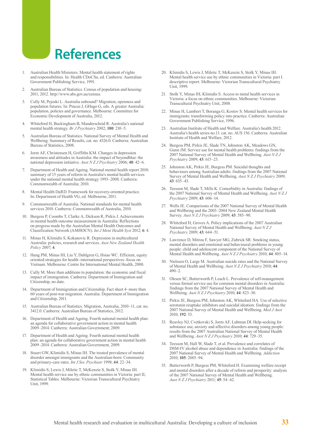## **References**

- 1. Australian Health Ministers. Mental health statement of rights and responsibilities. In: Health CDoCSa, ed. Canberra: Australian Government Publishing Service, 1991.
- 2. Australian Bureau of Statistics. Census of population and housing: 2011, 2012. http://www.abs.gov.au/census.
- 3. Cully M, Pejoski L. Australia unbound? Migration, openness and population futures. In: Pincus J, GHugo G, eds. A greater Australia: population, policies and governance. Melbourne: Committee for Economic Development of Australia, 2012.
- 4. Whiteford H, Buckingham B, Manderscheid R. Australia's national mental health strategy. *Br J Psychiatry* 2002; **180**: 210–5.
- 5. Australian Bureau of Statistics. National Survey of Mental Health and Wellbeing: Summary of Results, cat. no. 4326.0. Canberra: Australian Bureau of Statistics, 2008.
- 6. Jorm AF, Christensen H, Griffiths KM. Changes in depression awareness and attitudes in Australia: the impact of beyondblue: the national depression initiative. *Aust N Z J Psychiatry* 2006; **40**: 42–6.
- 7. Department of Health and Ageing. National mental health report 2010: summary of 15 years of reform in Australia's mental health services under the national mental health strategy 1993–2008. Canberra: Commonwealth of Australia; 2010.
- 8. Mental Health DaRD. Framework for recovery-oriented practice. In: Department of Health VG, ed. Melbourne, 2011.
- 9. Commonwealth of Australia. National standards for mental health services 2010. Canberra: Commonwealth of Australia, 2010.
- 10. Burgess P, Coombs T, Clarke A, Dickson R, Pirkis J. Achievements in mental health outcome measurement in Australia: Reflections on progress made by the Australian Mental Health Outcomes and Classification Network (AMHOCN). *Int J Ment Health Syst* 2012; **6**: 4.
- 11. Minas H, Klimidis S, Kokanovic R. Depression in multicultural Australia: policies, research and services. *Aust New Zealand Health Policy* 2007; **4**.
- 12. Hung PM, Minas HI, Liu Y, Dahlgren G, Hsiao WC. Efficient, equity oriented strategies for health–international perspectives–focus on Vietnam. Melbourne: Centre for International Mental Health, 2000.
- 13. Cully M. More than additions to population: the economic and fiscal impact of immigration. Canberra: Department of Immigration and Citizenship, no date.
- 14. Department of Immigration and Citizenship. Fact sheet 4–more than 60 years of post-war migration. Australia: Department of Immigration and Citizenship, 2011.
- 15. Australian Bureau of Statistics. Migration, Australia, 2010–11, cat. no. 3412.0. Canberra: Australian Bureau of Statistics, 2012.
- 16. Department of Health and Ageing. Fourth national mental health plan: an agenda for collaborative government action in mental health 2009–2014. Canberra: Australian Government; 2009.
- 17. Department of Health and Ageing. Fourth national mental health plan: an agenda for collaborative government action in mental health 2009–2014. Canberra: Australian Government, 2009.
- 18. Stuart GW, Klimidis S, Minas IH. The treated prevalence of mental disorder amongst immigrants and the Australian-born: Community and primary-care rates. *Int J Soc Psychiatr* 1998; **44**: 22–34.
- 19. Klimidis S, Lewis J, Miletic T, McKenzie S, Stolk Y, Minas IH. Mental health service use by ethnic communities in Victoria: part II, Statistical Tables. Melbourne: Victorian Transcultural Psychiatry Unit, 1999.
- 20. Klimidis S, Lewis J, Miletic T, McKenzie S, Stolk Y, Minas IH. Mental health service use by ethnic communities in Victoria: part I. descriptive report. Melbourne: Victorian Transcultural Psychiatry Unit, 1999.
- 21. Stolk Y, Minas IH, Klimidis S. Access to metal health services in Victoria: a focus on ethnic communities. Melbourne: Victorian Transcultural Psychiatry Unit, 2008.
- 22. Minas H, Lambert T, Boranga G, Kostov S. Mental health services for immigrants: transforming policy into practice. Canberra: Australian Government Publishing Service, 1996.
- 23. Australian Institute of Health and Welfare. Australia's health 2012. Australia's health series no.13. cat. no. AUS 156. Canberra: Australian Institute of Health and Welfare, 2012.
- 24. Burgess PM, Pirkis JE, Slade TN, Johnston AK, Meadows GN, Gunn JM. Service use for mental health problems: findings from the 2007 National Survey of Mental Health and Wellbeing. *Aust N Z J Psychiatry* 2009; **43**: 615–23.
- 25. Johnston AK, Pirkis JE, Burgess PM. Suicidal thoughts and behaviours among Australian adults: findings from the 2007 National Survey of Mental Health and Wellbeing. *Aust N Z J Psychiatry* 2009; **43**: 635–43.
- 26. Teesson M, Slade T, Mills K. Comorbidity in Australia: findings of the 2007 National Survey of Mental Health and Wellbeing. *Aust N Z J Psychiatry* 2009; **43**: 606–14.
- 27. Wells JE. Comparisons of the 2007 National Survey of Mental Health and Wellbeing and the 2003–2004 New Zealand Mental Health Survey. *Aust N Z J Psychiatry* 2009; **43**: 585–90.
- 28. Whiteford H, Groves A. Policy implications of the 2007 Australian National Survey of Mental Health and Wellbeing. *Aust N Z J Psychiatry* 2009; **43**: 644–51.
- Lawrence D, Mitrou F, Sawyer MG, Zubrick SR. Smoking status, mental disorders and emotional and behavioural problems in young people: child and adolescent component of the National Survey of Mental Health and Wellbeing. *Aust N Z J Psychiatry* 2010; **44**: 805–14.
- 30. Nielssen O, Large M. Australian suicide rates and the National Survey of Mental Health and Wellbeing. *Aust N Z J Psychiatry* 2010; **44**: 490–2.
- 31. Olesen SC, Butterworth P, Leach L. Prevalence of self-management versus formal service use for common mental disorders in Australia: findings from the 2007 National Survey of Mental Health and Wellbeing. *Aust N Z J Psychiatry* 2010; **44**: 823–30.
- 32. Pirkis JE, Burgess PM, Johnston AK, Whiteford HA. Use of selective serotonin reuptake inhibitors and suicidal ideation: findings from the 2007 National Survey of Mental Health and Wellbeing. *Med J Aust* 2010; **192**: 53.
- 33. Reavley NJ, Cvetkovski S, Jorm AF, Lubman DI. Help-seeking for substance use, anxiety and affective disorders among young people: results from the 2007 Australian National Survey of Mental Health and Wellbeing. *Aust N Z J Psychiatry* 2010; **44**: 729–35.
- 34. Teesson M, Hall W, Slade T, et al. Prevalence and correlates of DSM-IV alcohol abuse and dependence in Australia: findings of the 2007 National Survey of Mental Health and Wellbeing. *Addiction* 2010; **105**: 2085–94.
- 35. Butterworth P, Burgess PM, Whiteford H. Examining welfare receipt and mental disorders after a decade of reform and prosperity: analysis of the 2007 National Survey of Mental Health and Wellbeing. *Aust N Z J Psychiatry* 2011; **45**: 54–62.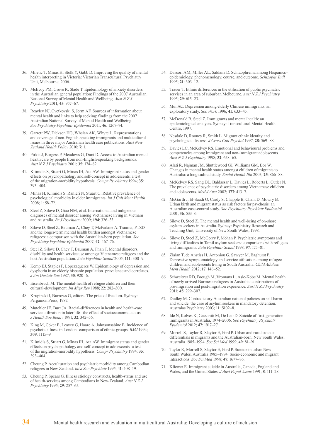- 36. Miletic T, Minas H, Stolk Y, Gabb D. Improving the quality of mental health interpreting in Victoria: Victorian Transcultural Psychiatry Unit, Melbourne; 2006.
- 37. McEvoy PM, Grove R, Slade T. Epidemiology of anxiety disorders in the Australian general population: Findings of the 2007 Australian National Survey of Mental Health and Wellbeing. *Aust N Z J Psychiatry* 2011; **45**: 957–67.
- 38. Reavley NJ, Cvetkovski S, Jorm AF. Sources of information about mental health and links to help seeking: findings from the 2007 Australian National Survey of Mental Health and Wellbeing. *Soc Psychiatry Psychiatr Epidemiol* 2011; **46**: 1267–74.
- 39. Garrett PW, Dickson HG, Whelan AK, Whyte L. Representations and coverage of non-English-speaking immigrants and multicultural issues in three major Australian health care publications. *Aust New Zealand Health Policy* 2010; **7**: 1.
- 40. Pirkis J, Burgess P, Meadows G, Dunt D. Access to Australian mental health care by people from non-English-speaking backgrounds. *Aust N Z J Psychiatry* 2001; **35**: 174–82.
- 41. Klimidis S, Stuart G, Minas IH, Ata AW. Immigrant status and gender effects on psychopathology and self-concept in adolescents: a test of the migration-morbidity hypothesis. *Compr Psychiatry* 1994; **35**: 393–404.
- 42. Minas H, Klimidis S, Ranieri N, Stuart G. Relative prevalence of psychological morbidity in older immigrants. *Int J Cult Ment Health* 2008; 1: 58–72.
- 43. Steel Z, Silove D, Giao NM, et al. International and indigenous diagnoses of mental disorder among Vietnamese living in Vietnam and Australia. *Br J Psychiatry* 2009; **194**: 326–33.
- 44. Silove D, Steel Z, Bauman A, Chey T, McFarlane A. Trauma, PTSD and the longer-term mental health burden amongst Vietnamese refugees: a comparison with the Australian-born population. *Soc Psychiatry Psychiatr Epidemiol* 2007; **42**: 467–76.
- 45. Steel Z, Silove D, Chey T, Bauman A, Phan T. Mental disorders, disability and health service use amongst Vietnamese refugees and the host Australian population. *Acta Psychiatr Scand* 2005; **111**: 300–9.
- 46. Kemp BJ, Staples F, Lopezaqueres W. Epidemiology of depression and dysphoria in an elderly hispanic population–prevalence and correlates. *J Am Geriatr Soc* 1987; **35**: 920–6.
- 47. Eisenbruch M. The mental-health of refugee children and their cultural-development. *Int Migr Rev* 1988; **22**: 282–300.
- 48. Krupinski J, Burrows G, editors. The price of freedom. Sydney: Pergamon Press; 1987.
- 49. Mutchler JE, Burr JA. Racial-differences in health and health-care service utilization in later life –the effect of socioeconomic-status. *J Health Soc Behav* 1991; **32**: 342–56.
- 50. King M, Coker E, Leavey G, Hoare A, Johnsonsabine E. Incidence of psychotic illness in London–comparison of ethnic-groups. *BMJ* 1994; **309**: 1115–9.
- 51. Klimidis S, Stuart G, Minas IH, Ata AW. Immigrant status and gender effects on psychopathology and self-concept in adolescents–a test of the migration-morbidity hypothesis. *Compr Psychiatry* 1994; **35**: 393–404.
- 52. Cheung P. Acculturation and psychiatric morbidity among Cambodian refugees in New-Zealand. *Int J Soc Psychiatr* 1995; **41**: 108–19.
- 53. Cheung P, Spears G. Illness etiology constructs, health-status and use of health-services among Cambodians in New-Zealand. *Aust N Z J Psychiatry* 1995; **29**: 257–65.
- 54. Dassori AM, Miller AL, Saldana D. Schizophrenia among Hispanics– epidemiology, phenomenology, course, and outcome. *Schizophr Bull* 1995; **21**: 303–12.
- 55. Trauer T. Ethnic differences in the utilisation of public psychiatric services in an area of suburban Melbourne. *Aust N Z J Psychiatry* 1995; **29**: 615–23.
- 56. Mui AC. Depression among elderly Chinese immigrants: an exploratory study. *Soc Work* 1996; **41**: 633–45.
- 57. McDonald B, Steel Z. Immigrants and mental health: an epidemiological analysis. Sydney: Transcultural Mental Health Centre, 1997.
- 58. Nesdale D, Rooney R, Smith L. Migrant ethnic identity and psychological distress. *J Cross Cult Psychol* 1997; **28**: 569–88.
- 59. Davies LC, McKelvey RS. Emotional and behavioural problems and competencies among immigrant and non-immigrant adolescents. *Aust N Z J Psychiatry* 1998; **32**: 658–65.
- 60. Alati R, Najman JM, Shuttlewood GJ, Williams GM, Bor W. Changes in mental health status amongst children of migrants to Australia: a longitudinal study. *Sociol Health Illn* 2003; **25**: 866–88.
- 61. McKelvey RS, Sang DL, Baldassar L, Davies L, Roberts L, Cutler N. The prevalence of psychiatric disorders among Vietnamese children and adolescents. *Med J Aust* 2002; **177**: 413–7.
- 62. McGarth J, El-Saadi O, Cardy S, Chapple B, Chant D, Mowry B. Urban birth and migrant status as risk factors for psychosis: an Australian case-control study. *Soc Psychiatry Psychiatr Epidemiol* 2001; **36**: 533–6.
- 63. Silove D, Steel Z. The mental health and well-being of on-shore asylum seekers in Australia. Sydney: Psychiatry Research and Teaching Unit, University of New South Wales, 1998.
- 64. Silove D, Steel Z, McGorry P, Mohan P. Psychiatric symptoms and living difficulties in Tamil asylum seekers: comparisons with refugees and immigrants. *Acta Psychiatr Scand* 1998; **97**: 175–81.
- 65. Ziaian T, de Anstiss H, Antoniou G, Sawyer M, Baghurst P. Depressive symptomatology and service utilisation among refugee children and adolescents living in South Australia. *Child Adolesc Ment Health* 2012; **17**: 146–52.
- 66. Schweitzer RD, Brough M, Vromans L, Asic-Kobe M. Mental health of newly arrived Burmese refugees in Australia: contributions of pre-migration and post-migration experience. *Aust N Z J Psychiatry* 2011; **45**: 299–307.
- 67. Dudley M. Contradictory Australian national policies on self-harm and suicide: the case of asylum seekers in mandatory detention. Australas Psychiatry 2003; 11: S102–8.
- 68. Ide N, Kolves K, Cassaniti M, De Leo D. Suicide of first-generation immigrants in Australia, 1974–2006. *Soc Psychiatry Psychiatr Epidemiol* 2012; **47**: 1917–27.
- 69. Morrell S, Taylor R, Slaytor E, Ford P. Urban and rural suicide differentials in migrants and the Australian-born, New South Wales, Australia 1985–1994. *Soc Sci Med* 1999; **49**: 81–91.
- 70. Taylor R, Morrell S, Slaytor E, Ford P. Suicide in urban New South Wales, Australia 1985–1994: Socio-economic and migrant interactions. *Soc Sci Med* 1998; **47**: 1677–86.
- 71. Kliewer E. Immigrant suicide in Australia, Canada, England and Wales, and the United States. *J Aust Popul Assoc* 1991; **8**: 111–28.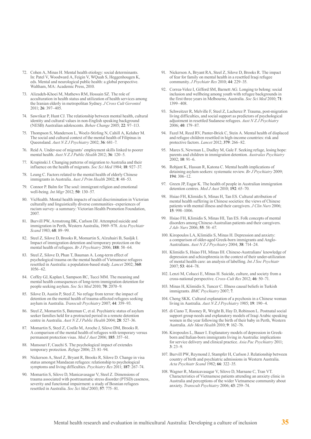- 72. Cohen A, Minas H. Mental health etiology: social determinants. In: Patel V, Woodward A, Feigin V, WQuah S, Heggenhougen K, eds. Mental and neurological public health: a global perspective. Waltham, MA: Academic Press, 2010.
- 73. Alizadeh-Khoei M, Mathews RM, Hossain SZ. The role of acculturation in health status and utilization of health services among the Iranian elderly in metropolitan Sydney. *J Cross Cult Gerontol* 2011; **26**: 397–405.
- 74. Sawrikar P, Hunt CJ. The relationship between mental health, cultural identity and cultural values in non-English speaking background (NESB) Australian adolescents. *Behav Change* 2005; **22**: 97–113.
- Thompson S, Manderson L, Woelz-Stirling N, Cahill A, Kelaher M. The social and cultural context of the mental health of Filipinas in Queensland. *Aust N Z J Psychiatry* 2002; **36**: 681–7.
- 76. Reid A. Under-use of migrants' employment skills linked to poorer mental health. *Aust N Z J Public Health* 2012; **36**: 120–5.
- 77. Krupinski J. Changing patterns of migration to Australia and their influence on the health of migrants. *Soc Sci Med* 1984; **18**: 927–37.
- 78. Leung C. Factors related to the mental health of elderly Chinese immigrants in Australia. *Aust J Prim Health* 2002; **8**: 48–53.
- 79. Connor P. Balm for The soul: immigrant religion and emotional well-being. *Int Migr* 2012; **50**: 130–57.
- 80. VicHealth. Mental health impacts of racial discrimination in Victorian culturally and linguistically diverse communities–experiences of racism survey–a summary: Victorian Health Promotion Foundation, 2007.
- 81. Burvill PW, Armstrong BK, Carlson DJ. Attempted suicide and immigration in Perth, Western Australia, 1969–978. *Acta Psychiatr Scand* 1983; **68**: 89–99.
- 82. Steel Z, Silove D, Brooks R, Momartin S, Alzuhairi B, Susljik I. Impact of immigration detention and temporary protection on the mental health of refugees. *Br J Psychiatry* 2006; **188**: 58–64.
- 83. Steel Z, Silove D, Phan T, Bauman A. Long-term effect of psychological trauma on the mental health of Vietnamese refugees resettled in Australia: a population-based study. *Lancet* 2002; **360**: 1056–62.
- 84. Coffey GJ, Kaplan I, Sampson RC, Tucci MM. The meaning and mental health consequences of long-term immigration detention for people seeking asylum. *Soc Sci Med* 2010; **70**: 2070–9.
- 85. Silove D, Austin P, Steel Z. No refuge from terror: the impact of detention on the mental health of trauma-affected refugees seeking asylum in Australia. *Transcult Psychiatry* 2007; **44**: 359–93.
- 86. Steel Z, Momartin S, Bateman C, et al. Psychiatric status of asylum seeker families held for a protracted period in a remote detention centre in Australia. *Aust N Z J Public Health* 2004; **28**: 527–36.
- 87. Momartin S, Steel Z, Coello M, Aroche J, Silove DM, Brooks R. A comparison of the mental health of refugees with temporary versus permanent protection visas. *Med J Aust* 2006; **185**: 357–61.
- 88. Mansouri F, Cauchi S. The psychological impact of extendes temporary protection. *Refuge* 2006; 23: 81–94.
- 89. Nickerson A, Steel Z, Bryant R, Brooks R, Silove D. Change in visa status amongst Mandaean refugees: relationship to psychological symptoms and living difficulties. *Psychiatry Res* 2011; **187**: 267–74.
- 90. Momartin S, Silove D, Manicavasagar V, Steel Z. Dimensions of trauma associated with posttraumatic stress disorder (PTSD) caseness, severity and functional impairment: a study of Bosnian refugees resettled in Australia. *Soc Sci Med* 2003; **57**: 775–81.
- 91. Nickerson A, Bryant RA, Steel Z, Silove D, Brooks R. The impact of fear for family on mental health in a resettled Iraqi refugee community. *J Psychiatr Res* 2010; **44**: 229–35.
- 92. Correa-Velez I, Gifford SM, Barnett AG. Longing to belong: social inclusion and wellbeing among youth with refugee backgrounds in the first three years in Melbourne, Australia. *Soc Sci Med* 2010; **71**: 1399–408.
- 93. Schweitzer R, Melville F, Steel Z, Lacherez P. Trauma, post-migration living difficulties, and social support as predictors of psychological adjustment in resettled Sudanese refugees. *Aust N Z J Psychiatry* 2006; **40**: 179–87.
- 94. Fazel M, Reed RV, Panter-Brick C, Stein A. Mental health of displaced and refugee children resettled in high-income countries: risk and protective factors. *Lancet* 2012; **379**: 266–82.
- 95. Mares S, Newman L, Dudley M, Gale F. Seeking refuge, losing hope: parents and children in immigration detention. *Australas Psychiatry* 2002; **10**: 91–6.
- 96. Robjant K, Hassan R, Katona C. Mental health implications of detaining asylum seekers: systematic review. *Br J Psychiatry* 2009; **194**: 306–12.
- 97. Green JP, Eagar K. The health of people in Australian immigration detention centres. *Med J Aust* 2010; **192**: 65–70.
- 98. Hsiao FH, Klimidis S, Minas H, Tan ES. Cultural attribution of mental health suffering in Chinese societies: the views of Chinese patients with mental illness and their caregivers. *J Clin Nurs* 2006; **15**: 998–1006.
- 99. Hsiao FH, Klimidis S, Minas HI, Tan ES. Folk concepts of mental disorders among Chinese-Australian patients and their caregivers. *J Adv Nurs* 2006; **55**: 58–67.
- 100. Kiropoulos LA, Klimidis S, Minas H. Depression and anxiety: a comparison of older-aged Greek-born immigrants and Anglo-Australians. *Aust N Z J Psychiatry* 2004; **38**: 714–24.
- 101. Klimidis S, Hsiao FH, Minas IH. Chinese-Australians' knowledge of depression and schizophrenia in the context of their under-utilization of mental health care: an analysis of labelling. *Int J Soc Psychiatr* 2007; **53**: 464–78.
- 102. Lenzi M, Colucci E, Minas H. Suicide, culture, and society from a cross-national perspective. *Cross-Cult Res* 2012; **46**: 50–71.
- 103. Minas H, Klimidis S, Tuncer C. Illness causal beliefs in Turkish immigrants. *BMC Psychiatry* 2007; **7**.
- 104. Cheng SKK. Cultural explanation of a psychosis in a Chinese woman living in Australia. *Aust N Z J Psychiatry* 1985; **19**: 190–4.
- 105. di Ciano T, Rooney R, Wright B, Hay D, Robinson L. Postnatal social support group needs and explanatory models of Iraqi Arabic speaking women in the year following the birth of their baby in Perth, Western Australia. *Adv Ment Health* 2010; **9**: 162–76.
- 106. Kiropoulos L, Bauer I. Explanatory models of depression in Greekborn and Italian-born immigrants living in Australia: implications for service delivery and clinical practice. *Asia Pac Psychiatry* 2011; **3**: 23–9.
- 107. Burvill PW, Reymond J, Stampfer H, Carlson J. Relationship between country of birth and psychiatric admissions in Western Australia. *Acta Psychiatr Scand* 1982; **66**: 322–35.
- 108. Wagner R, Manicavasagar V, Silove D, Marnane C, Tran VT. Characteristics of Vietnamese patients attending an anxiety clinic in Australia and perceptions of the wider Vietnamese community about anxiety. *Transcult Psychiatry* 2006; **43**: 259–74.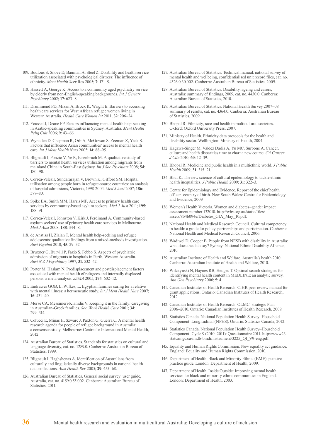- 109. Boufous S, Silove D, Bauman A, Steel Z. Disability and health service utilization associated with psychological distress: The influence of ethnicity. *Ment Health Serv* Res 2005; **7**: 171–9.
- 110. Hassett A, George K. Access to a community aged psychiatry service by elderly from non-English-speaking backgrounds. *Int J Geriatr Psychiatry* 2002; **17**: 623–8.
- 111. Drummond PD, Mizan A, Brocx K, Wright B. Barriers to accessing health care services for West African refugee women living in Western Australia. *Health Care Women Int* 2011; **32**: 206–24.
- 112. Youssef J, Deane FP. Factors influencing mental-health help-seeking in Arabic-speaking communities in Sydney, Australia. *Ment Health Relig Cult* 2006; 9: 43–66.
- 113. Wynaden D, Chapman R, Orb A, McGowan S, Zeeman Z, Yeak S. Factors that influence Asian communities' access to mental health care. *Int J Ment Health Nurs* 2005; **14**: 88–95.
- 114. Blignault I, Ponzio V, Ye R, Eisenbruch M. A qualitative study of barriers to mental health services utilisation among migrants from mainland China in South-East Sydney. *Int J Soc Psychiatr* 2008; **54**: 180–90.
- 115. Correa-Velez I, Sundararajan V, Brown K, Gifford SM. Hospital utilisation among people born in refugee-source countries: an analysis of hospital admissions, Victoria, 1998-2004. *Med J Aust* 2007; **186**: 577–80.
- 116. Spike EA, Smith MM, Harris MF. Access to primary health care services by community-based asylum seekers. *Med J Aust* 2011; **195**: 188–91.
- 117. Correa-Velez I, Johnston V, Kirk J, Ferdinand A. Community-based asylum seekers' use of primary health care services in Melbourne. *Med J Aust* 2008; **188**: 344–8.
- 118. de Anstiss H, Ziaian T. Mental health help-seeking and refugee adolescents: qualitative findings from a mixed-methods investigation. *Aust Psychol* 2010; **45**: 29–37.
- 119. Bruxner G, Burvill P, Fazio S, Febbo S. Aspects of psychiatric admission of migrants to hospitals in Perth, Western Australia. *Aust N Z J Psychiatry* 1997; **31**: 532–42.
- 120. Porter M, Haslam N. Predisplacement and postdisplacement factors associated with mental health of refugees and internally displaced persons: a meta-analysis. *JAMA* 2005; **294**: 602–12.
- 121. Endrawes GOB, L.;Wilkes, L. Egyptian families caring for a relative with mental illness: a hermeneutic study. *Int J Ment Health Nurs* 2007; **16**: 431–40.
- 122. Morse CA, Messimeri-Kianidis V. Keeping it in the family: caregiving in Australian-Greek families. *Soc Work Health Care* 2001; **34**: 299–314.
- 123. Colucci E, Minas H, Szwarc J, Paxton G, Guerra C. A mental health research agenda for people of refugee background in Australia: a consensus study. Melbourne: Centre for International Mental Health, 2012.
- 124. Australian Bureau of Statistics. Standards for statistics on cultural and language diversity, cat. no. 1289.0. Canberra: Australian Bureau of Statistics, 1999.
- 125. Blignault I, Haghshenas A. Identification of Australians from culturally and linguistically diverse backgrounds in national health data collections. *Aust Health Rev* 2005; **29**: 455–68.
- 126. Australian Bureau of Statistics. General social survey: user guide, Australia, cat. no. 4159.0.55.002. Canberra: Australian Bureau of Statistics, 2011.
- 127. Australian Bureau of Statistics. Technical manual: national survey of mental health and wellbeing, confidentialised unit record files, cat. no. 4326.0.30.002. Canberra: Australian Bureau of Statistics, 2009.
- 128. Australian Bureau of Statistics. Disability, ageing and carers, Australia: summary of findings, 2009, cat. no. 4430.0. Canberra: Australian Bureau of Statistics, 2010.
- 129. Australian Bureau of Statistics. National Health Survey 2007–08: summary of results, cat. no. 4364.0. Canberra: Australian Bureau of Statistics, 2009.
- 130. Bhopal R. Ethnicity, race and health in multicultural societies. Oxford: Oxford University Press, 2007.
- 131. Ministry of Health. Ethnicity data protocols for the health and disability sector. Welllington: Ministry of Health, 2004.
- 132. Kagawa-Singer M, Valdez Dadia A, Yu MC, Surbone A. Cancer, culture and health disparities time to chart a new course. *CA Cancer J Clin* 2010; **60**: 12–39.
- 133. Bhopal R. Medicine and public health in a multiethnic world. *J Public Health* 2009; **31**: 315–21.
- 134. Bhui K. The new science of cultural epidemiology to tackle ethnic health inequalities. *J Public Health* 2009; **31**: 322–3.
- 135. Centre for Epidemiology and Evidence. Report of the chief health officer–country of birth. New South Wales: Centre for Epidemiology and Evidence, 2009.
- 136. Women's Health Victoria. Women and diabetes–gender impact assessment number 132010. http://whv.org.au/static/files/ assets/8b4b094e/Diabetes\_GIA\_May\_10.pdf.
- 137. National Health and Medical Research Council. Cultural competency in health: a guide for policy, partnerships and participation. Canberra: National Health and Medical Research Council, 2006.
- 138. Wadiwel D, Cooper B. People from NESB with disability in Australia: what does the data say? Sydney: National Ethnic Disability Alliance, 2010.
- 139. Australian Institute of Health and Welfare. Australia's health 2010. Canberra: Australian Institute of Health and Welfare, 2010.
- 140. Wilczynski N, Haynes RB, Hedges T. Optimal search strategies for identifying mental health content in MEDLINE: an analytic survey. *Ann Gen Psychiatry* 2006; **5**: 4.
- 141. Canadian Institutes of Health Research. CIHR peer review manual for grant applications. Ontario: Canadian Institutes of Health Research, 2012.
- 142. Canadian Institutes of Health Research. OLMC–strategic Plan 2006–2010. Ontario: Canadian Institutes of Health Research, 2009.
- 143. Statistics Canada. National Population Health Survey–Household Component–Longitudinal (NPHS). Ontario: Statistics Canada, 2012.
- 144. Statistics Canada. National Population Health Survey–Household Component–Cycle 9 (2010–2011): Questionnaire 2011. http://www23. statcan.gc.ca/imdb-bmdi/instrument/3225\_Q1\_V9-eng.pdf
- 145. Equality and Human Rights Commission. New equality act guidance. England: Equality and Human Rights Commission, 2010.
- 146. Department of Health. Black and Minority Ethnic (BME): positive practice guide. London: Department of Health, 2009.
- 147. Department of Health. Inside Outside: Improving mental health services for black and minority ethnic communities in England. London: Department of Health, 2003.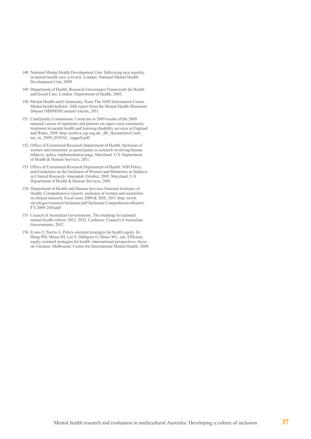- 148. National Mental Health Development Unit. Delivering race equality in mental health care: a review. London: National Mental Health Development Unit, 2009.
- 149. Department of Health. Research Governance Framework for Health and Social Care. London: Department of Health, 2005.
- 150. Mental Health and Community Team The NHS Information Centre. Mental health bulletin: fifth report from the Mental Health Minimum Dataset (MHMDS) annual returns, 2011.
- 151. CareQuality Commisson. Count me in 2009 results of the 2009 national census of inpatients and patients on supervised community treatment in mental health and learning disability services in England and Wales, 2010. http://archive.cqc.org.uk/\_db/\_documents/Count\_ me\_in\_2009\_(FINAL\_tagged).pdf
- 152. Office of Extramural Research Department of Health. Inclusion of women and minorities as participants in research involving human subjects–policy implementation page. Maryland: U.S. Department of Health & Human Services, 2011.
- 153. Office of Extramural Research Department of Health. NIH Policy and Guidelines on the Inclusion of Women and Minorities as Subjects in Clinical Research–Amended, October, 2001. Maryland: U.S. Department of Health & Human Services, 2001.
- 154. Department of Health and Human Services National Institutes of Health. Comprehensive reports: inclusion of women and minorities in clinical research, fiscal years 2009 & 2010, 2011. http://orwh. od.nih.gov/research/inclusion/pdf/Inclusion-ComprehensiveReport-FY-2009-2010.pdf
- 155. Council of Australian Governments. The roadmap for national mental health reform: 2012–2022. Canberra: Council of Australian Governments, 2012.
- 156. Evans T, Norris A. Policy-oriented strategies for health equity. In: Hung PM, Minas HI, Liu Y, Dahlgren G, Hsiao WC, eds. Efficient, equity oriented strategies for health–international perspectives–focus on Vietnam. Melbourne: Centre for International Mental Health, 2000.